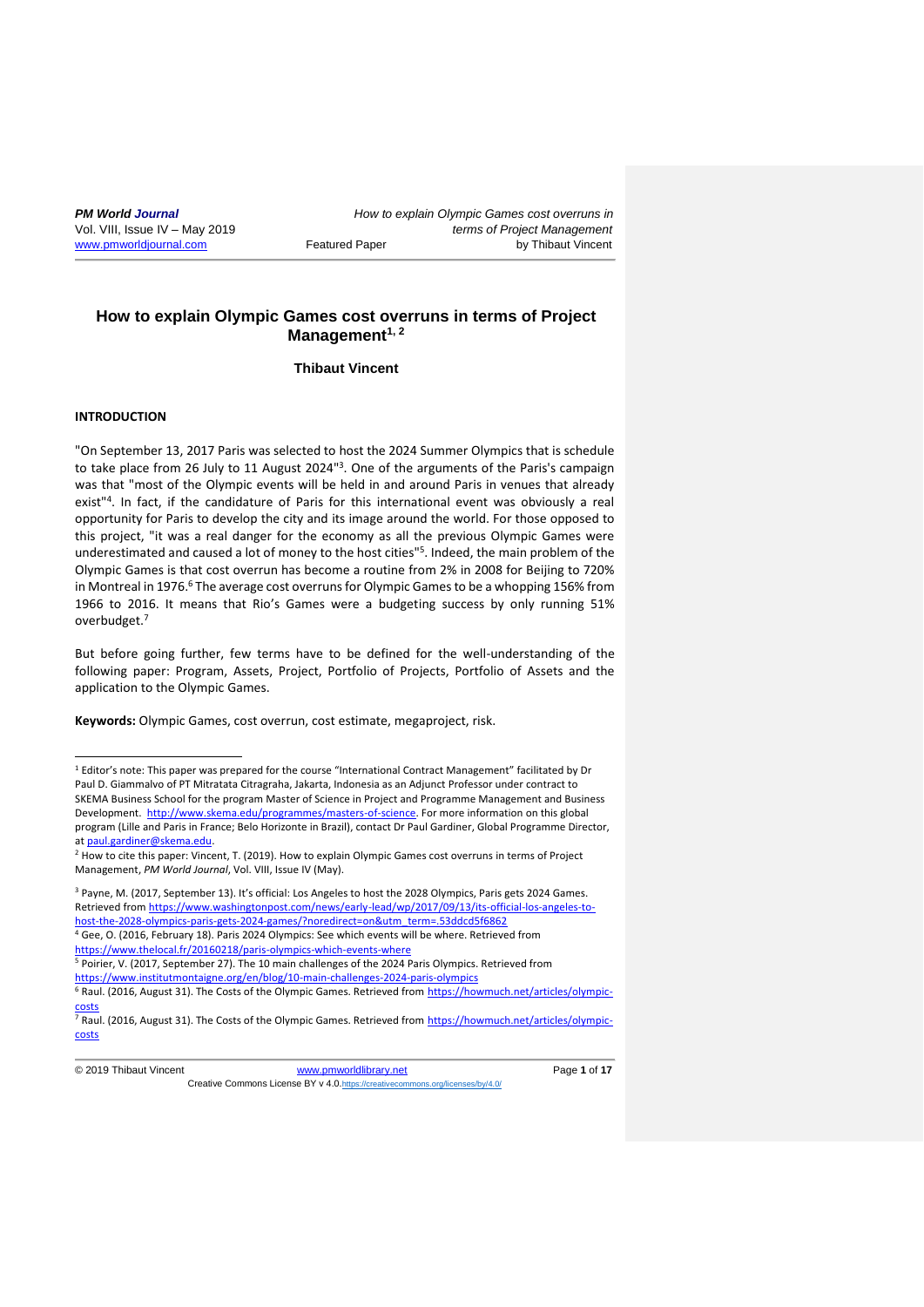# **How to explain Olympic Games cost overruns in terms of Project Management 1, 2**

**Thibaut Vincent**

# **INTRODUCTION**

<u>.</u>

"On September 13, 2017 Paris was selected to host the 2024 Summer Olympics that is schedule to take place from 26 July to 11 August 2024"<sup>3</sup>. One of the arguments of the Paris's campaign was that "most of the Olympic events will be held in and around Paris in venues that already exist"<sup>4</sup>. In fact, if the candidature of Paris for this international event was obviously a real opportunity for Paris to develop the city and its image around the world. For those opposed to this project, "it was a real danger for the economy as all the previous Olympic Games were underestimated and caused a lot of money to the host cities"<sup>5</sup>. Indeed, the main problem of the Olympic Games is that cost overrun has become a routine from 2% in 2008 for Beijing to 720% in Montreal in 1976.<sup>6</sup> The average cost overruns for Olympic Games to be a whopping 156% from 1966 to 2016. It means that Rio's Games were a budgeting success by only running 51% overbudget.<sup>7</sup>

But before going further, few terms have to be defined for the well-understanding of the following paper: Program, Assets, Project, Portfolio of Projects, Portfolio of Assets and the application to the Olympic Games.

**Keywords:** Olympic Games, cost overrun, cost estimate, megaproject, risk.

<sup>3</sup> Payne, M. (2017, September 13). It's official: Los Angeles to host the 2028 Olympics, Paris gets 2024 Games. Retrieved fro[m https://www.washingtonpost.com/news/early-lead/wp/2017/09/13/its-official-los-angeles-to](https://www.washingtonpost.com/news/early-lead/wp/2017/09/13/its-official-los-angeles-to-host-the-2028-olympics-paris-gets-2024-games/?noredirect=on&utm_term=.53ddcd5f6862)[host-the-2028-olympics-paris-gets-2024-games/?noredirect=on&utm\\_term=.53ddcd5f6862](https://www.washingtonpost.com/news/early-lead/wp/2017/09/13/its-official-los-angeles-to-host-the-2028-olympics-paris-gets-2024-games/?noredirect=on&utm_term=.53ddcd5f6862) <sup>4</sup> Gee, O. (2016, February 18). Paris 2024 Olympics: See which events will be where. Retrieved from <https://www.thelocal.fr/20160218/paris-olympics-which-events-where>

<sup>5</sup> Poirier, V. (2017, September 27). The 10 main challenges of the 2024 Paris Olympics. Retrieved from <https://www.institutmontaigne.org/en/blog/10-main-challenges-2024-paris-olympics>

<sup>1</sup> Editor's note: This paper was prepared for the course "International Contract Management" facilitated by Dr Paul D. Giammalvo of PT Mitratata Citragraha, Jakarta, Indonesia as an Adjunct Professor under contract to SKEMA Business School for the program Master of Science in Project and Programme Management and Business Development. [http://www.skema.edu/programmes/masters-of-science.](http://www.skema.edu/programmes/masters-of-science) For more information on this global program (Lille and Paris in France; Belo Horizonte in Brazil), contact Dr Paul Gardiner, Global Programme Director, a[t paul.gardiner@skema.edu.](mailto:paul.gardiner@skema.edu)

<sup>&</sup>lt;sup>2</sup> How to cite this paper: Vincent, T. (2019). How to explain Olympic Games cost overruns in terms of Project Management, *PM World Journal*, Vol. VIII, Issue IV (May).

<sup>&</sup>lt;sup>6</sup> Raul. (2016, August 31). The Costs of the Olympic Games. Retrieved from [https://howmuch.net/articles/olympic-](https://howmuch.net/articles/olympic-costs)

[costs](https://howmuch.net/articles/olympic-costs) <sup>7</sup> Raul. (2016, August 31). The Costs of the Olympic Games. Retrieved from [https://howmuch.net/articles/olympic](https://howmuch.net/articles/olympic-costs)[costs](https://howmuch.net/articles/olympic-costs)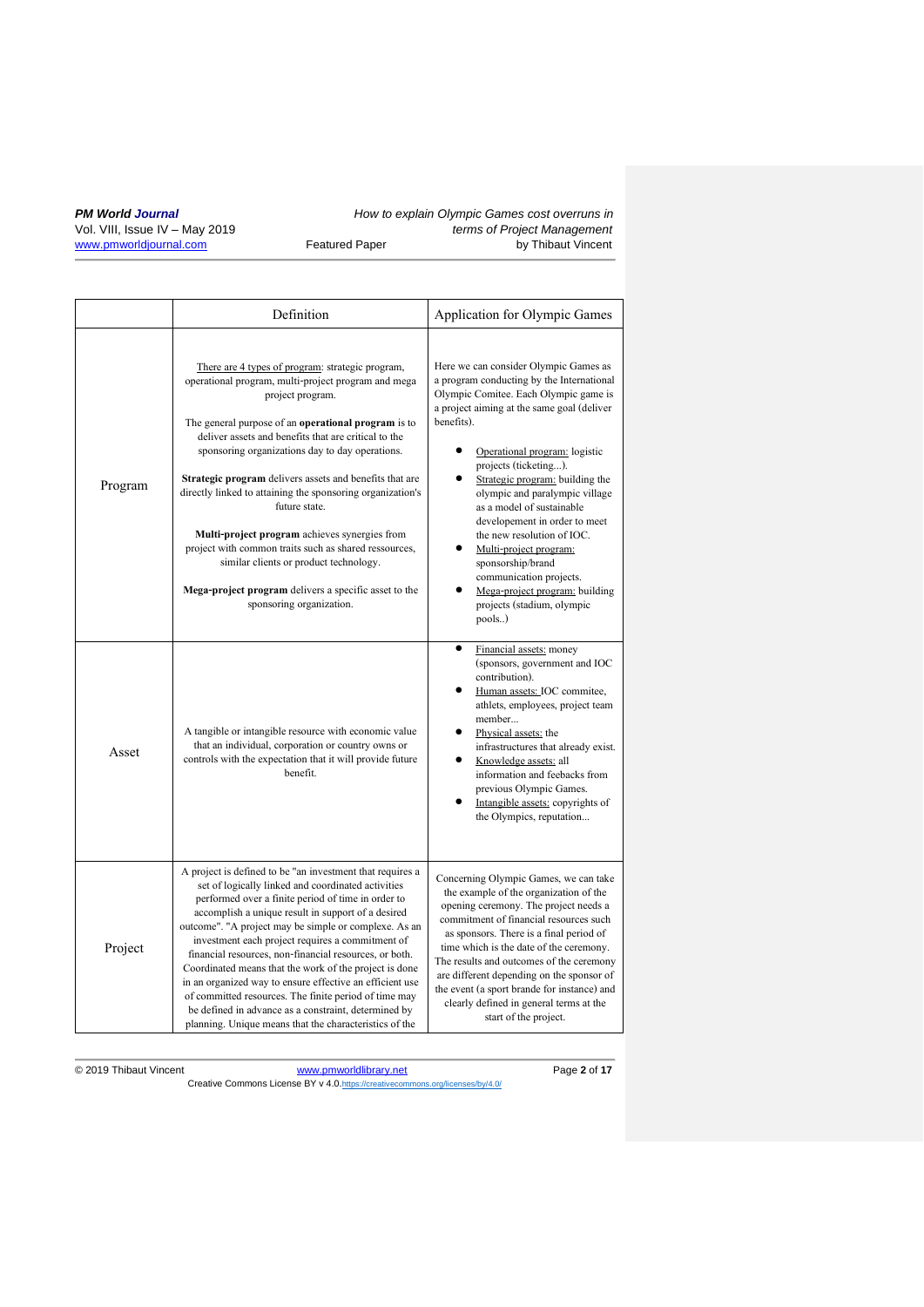|         | Definition                                                                                                                                                                                                                                                                                                                                                                                                                                                                                                                                                                                                                                                                                          | Application for Olympic Games                                                                                                                                                                                                                                                                                                                                                                                                                                                                                                                                          |
|---------|-----------------------------------------------------------------------------------------------------------------------------------------------------------------------------------------------------------------------------------------------------------------------------------------------------------------------------------------------------------------------------------------------------------------------------------------------------------------------------------------------------------------------------------------------------------------------------------------------------------------------------------------------------------------------------------------------------|------------------------------------------------------------------------------------------------------------------------------------------------------------------------------------------------------------------------------------------------------------------------------------------------------------------------------------------------------------------------------------------------------------------------------------------------------------------------------------------------------------------------------------------------------------------------|
| Program | There are 4 types of program: strategic program,<br>operational program, multi-project program and mega<br>project program.<br>The general purpose of an <b>operational program</b> is to<br>deliver assets and benefits that are critical to the<br>sponsoring organizations day to day operations.<br>Strategic program delivers assets and benefits that are<br>directly linked to attaining the sponsoring organization's<br>future state.<br>Multi-project program achieves synergies from<br>project with common traits such as shared ressources,<br>similar clients or product technology.<br>Mega-project program delivers a specific asset to the<br>sponsoring organization.             | Here we can consider Olympic Games as<br>a program conducting by the International<br>Olympic Comitee. Each Olympic game is<br>a project aiming at the same goal (deliver<br>benefits).<br>Operational program: logistic<br>projects (ticketing).<br>Strategic program: building the<br>olympic and paralympic village<br>as a model of sustainable<br>developement in order to meet<br>the new resolution of IOC.<br>Multi-project program:<br>sponsorship/brand<br>communication projects.<br>Mega-project program: building<br>projects (stadium, olympic<br>pools) |
| Asset   | A tangible or intangible resource with economic value<br>that an individual, corporation or country owns or<br>controls with the expectation that it will provide future<br>benefit.                                                                                                                                                                                                                                                                                                                                                                                                                                                                                                                | Financial assets: money<br>(sponsors, government and IOC<br>contribution).<br>Human assets: IOC commitee,<br>athlets, employees, project team<br>member<br>Physical assets: the<br>infrastructures that already exist.<br>Knowledge assets: all<br>information and feebacks from<br>previous Olympic Games.<br>Intangible assets: copyrights of<br>the Olympics, reputation                                                                                                                                                                                            |
| Project | A project is defined to be "an investment that requires a<br>set of logically linked and coordinated activities<br>performed over a finite period of time in order to<br>accomplish a unique result in support of a desired<br>outcome". "A project may be simple or complexe. As an<br>investment each project requires a commitment of<br>financial resources, non-financial resources, or both.<br>Coordinated means that the work of the project is done<br>in an organized way to ensure effective an efficient use<br>of committed resources. The finite period of time may<br>be defined in advance as a constraint, determined by<br>planning. Unique means that the characteristics of the | Concerning Olympic Games, we can take<br>the example of the organization of the<br>opening ceremony. The project needs a<br>commitment of financial resources such<br>as sponsors. There is a final period of<br>time which is the date of the ceremony.<br>The results and outcomes of the ceremony<br>are different depending on the sponsor of<br>the event (a sport brande for instance) and<br>clearly defined in general terms at the<br>start of the project.                                                                                                   |

© 2019 Thibaut Vincent [www.pmworldlibrary.net](http://www.pmworldlibrary.net/) Page **2** of **17** Creative Commons License BY v 4.0. <https://creativecommons.org/licenses/by/4.0/>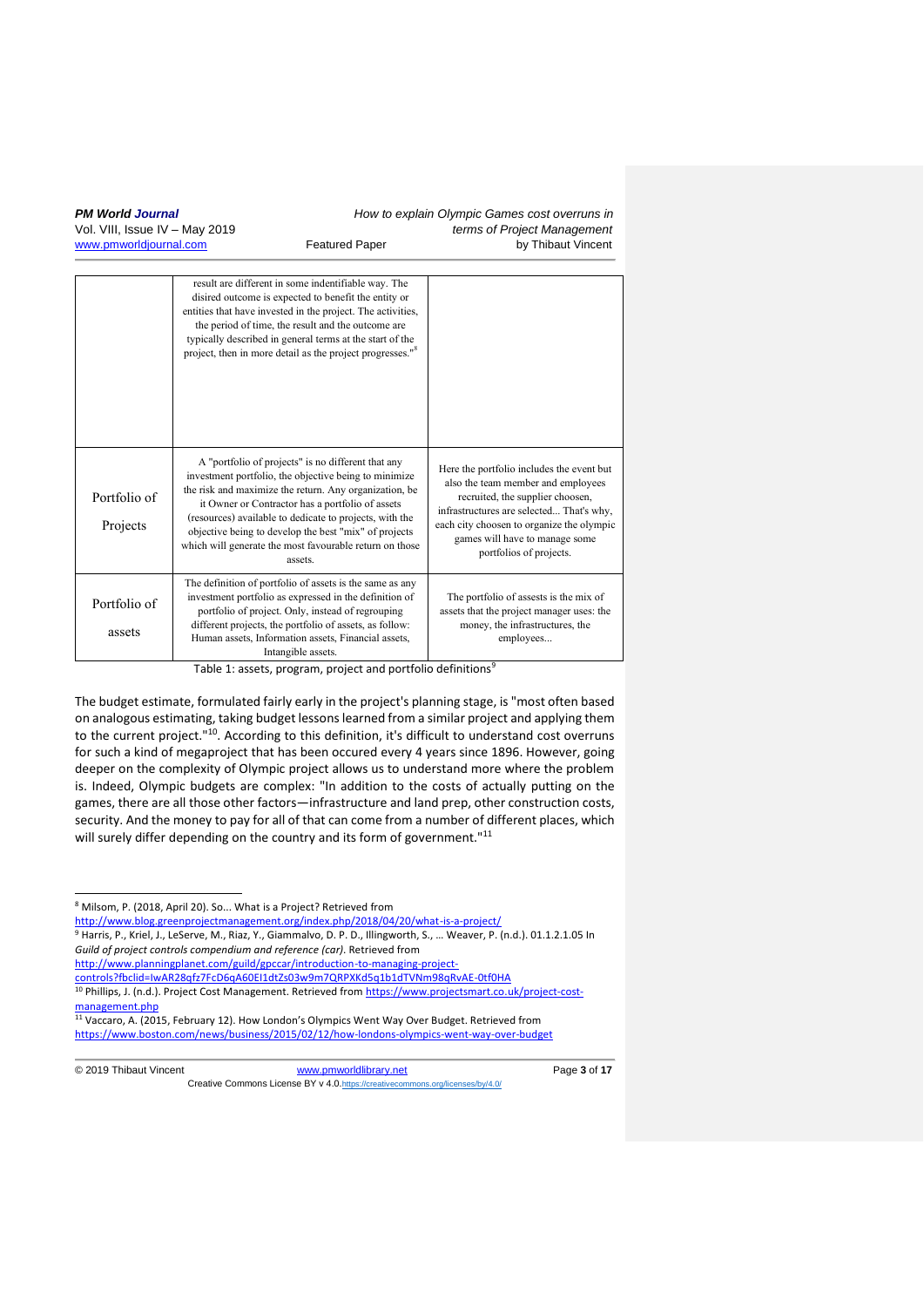|                          | result are different in some indentifiable way. The<br>disired outcome is expected to benefit the entity or<br>entities that have invested in the project. The activities,<br>the period of time, the result and the outcome are<br>typically described in general terms at the start of the<br>project, then in more detail as the project progresses." <sup>8</sup>                                                                     |                                                                                                                                                                                                                                                                           |
|--------------------------|-------------------------------------------------------------------------------------------------------------------------------------------------------------------------------------------------------------------------------------------------------------------------------------------------------------------------------------------------------------------------------------------------------------------------------------------|---------------------------------------------------------------------------------------------------------------------------------------------------------------------------------------------------------------------------------------------------------------------------|
| Portfolio of<br>Projects | A "portfolio of projects" is no different that any<br>investment portfolio, the objective being to minimize<br>the risk and maximize the return. Any organization, be<br>it Owner or Contractor has a portfolio of assets<br>(resources) available to dedicate to projects, with the<br>objective being to develop the best "mix" of projects<br>which will generate the most favourable return on those<br>assets.                       | Here the portfolio includes the event but<br>also the team member and employees<br>recruited, the supplier choosen,<br>infrastructures are selected That's why,<br>each city choosen to organize the olympic<br>games will have to manage some<br>portfolios of projects. |
| Portfolio of<br>assets   | The definition of portfolio of assets is the same as any<br>investment portfolio as expressed in the definition of<br>portfolio of project. Only, instead of regrouping<br>different projects, the portfolio of assets, as follow:<br>Human assets, Information assets, Financial assets,<br>Intangible assets.<br><b>Contact Contact Contact Contact Contact Contact Contact Contact Contact Contact Contact Contact Contact Contact</b> | The portfolio of assests is the mix of<br>assets that the project manager uses: the<br>money, the infrastructures, the<br>employees<br>$\alpha$                                                                                                                           |

Table 1: assets, program, project and portfolio definitions<sup>1</sup>

The budget estimate, formulated fairly early in the project's planning stage, is "most often based on analogous estimating, taking budget lessons learned from a similar project and applying them to the current project."<sup>10</sup>. According to this definition, it's difficult to understand cost overruns for such a kind of megaproject that has been occured every 4 years since 1896. However, going deeper on the complexity of Olympic project allows us to understand more where the problem is. Indeed, Olympic budgets are complex: "In addition to the costs of actually putting on the games, there are all those other factors—infrastructure and land prep, other construction costs, security. And the money to pay for all of that can come from a number of different places, which will surely differ depending on the country and its form of government."<sup>11</sup>

<sup>9</sup> Harris, P., Kriel, J., LeServe, M., Riaz, Y., Giammalvo, D. P. D., Illingworth, S., … Weaver, P. (n.d.). 01.1.2.1.05 In *Guild of project controls compendium and reference (car)*. Retrieved from

<sup>10</sup> Phillips, J. (n.d.). Project Cost Management. Retrieved from [https://www.projectsmart.co.uk/project-cost](https://www.projectsmart.co.uk/project-cost-management.php)[management.php](https://www.projectsmart.co.uk/project-cost-management.php)

<sup>11</sup> Vaccaro, A. (2015, February 12). How London's Olympics Went Way Over Budget. Retrieved from <https://www.boston.com/news/business/2015/02/12/how-londons-olympics-went-way-over-budget>

1

#### © 2019 Thibaut Vincent [www.pmworldlibrary.net](http://www.pmworldlibrary.net/) Page **3** of **17** Creative Commons License BY v 4.0. https://creative

<sup>8</sup> Milsom, P. (2018, April 20). So... What is a Project? Retrieved from

<http://www.blog.greenprojectmanagement.org/index.php/2018/04/20/what-is-a-project/>

[http://www.planningplanet.com/guild/gpccar/introduction-to-managing-project-](http://www.planningplanet.com/guild/gpccar/introduction-to-managing-project-controls?fbclid=IwAR28qfz7FcD6qA60EI1dtZs03w9m7QRPXKd5q1b1dTVNm98qRvAE-0tf0HA)

[controls?fbclid=IwAR28qfz7FcD6qA60EI1dtZs03w9m7QRPXKd5q1b1dTVNm98qRvAE-0tf0HA](http://www.planningplanet.com/guild/gpccar/introduction-to-managing-project-controls?fbclid=IwAR28qfz7FcD6qA60EI1dtZs03w9m7QRPXKd5q1b1dTVNm98qRvAE-0tf0HA)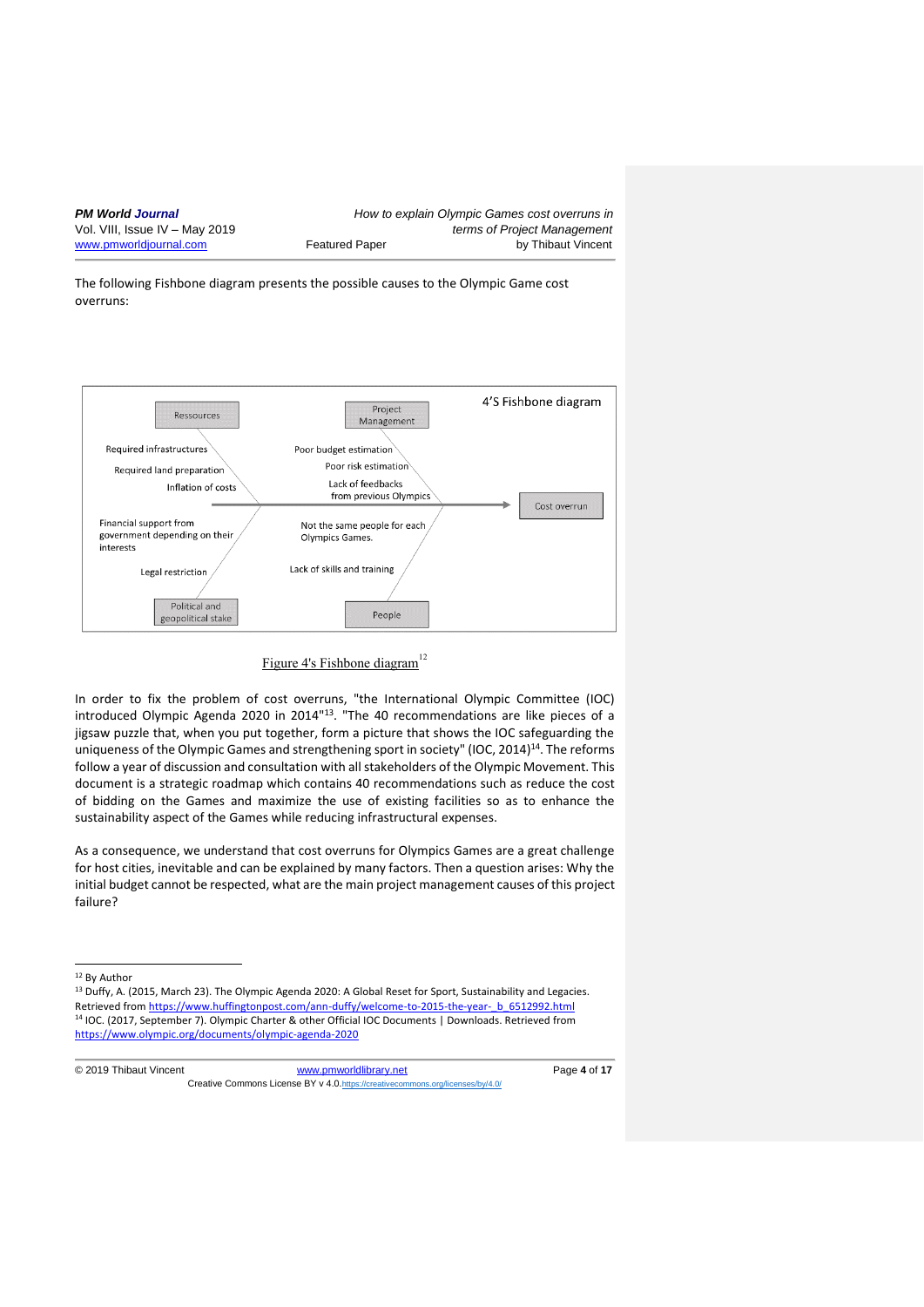The following Fishbone diagram presents the possible causes to the Olympic Game cost overruns:



# Figure 4's Fishbone diagram<sup>12</sup>

In order to fix the problem of cost overruns, "the International Olympic Committee (IOC) introduced Olympic Agenda 2020 in 2014"<sup>13</sup>. "The 40 recommendations are like pieces of a jigsaw puzzle that, when you put together, form a picture that shows the IOC safeguarding the uniqueness of the Olympic Games and strengthening sport in society" (IOC, 2014)<sup>14</sup>. The reforms follow a year of discussion and consultation with all stakeholders of the Olympic Movement. This document is a strategic roadmap which contains 40 recommendations such as reduce the cost of bidding on the Games and maximize the use of existing facilities so as to enhance the sustainability aspect of the Games while reducing infrastructural expenses.

As a consequence, we understand that cost overruns for Olympics Games are a great challenge for host cities, inevitable and can be explained by many factors. Then a question arises: Why the initial budget cannot be respected, what are the main project management causes of this project failure?

<sup>12</sup> By Author

1

<sup>13</sup> Duffy, A. (2015, March 23). The Olympic Agenda 2020: A Global Reset for Sport, Sustainability and Legacies. Retrieved fro[m https://www.huffingtonpost.com/ann-duffy/welcome-to-2015-the-year-\\_b\\_6512992.html](https://www.huffingtonpost.com/ann-duffy/welcome-to-2015-the-year-_b_6512992.html) <sup>14</sup> IOC. (2017, September 7). Olympic Charter & other Official IOC Documents | Downloads. Retrieved from <https://www.olympic.org/documents/olympic-agenda-2020>

© 2019 Thibaut Vincent [www.pmworldlibrary.net](http://www.pmworldlibrary.net/) Page **4** of **17** Creative Commons License BY v 4.0. https://creative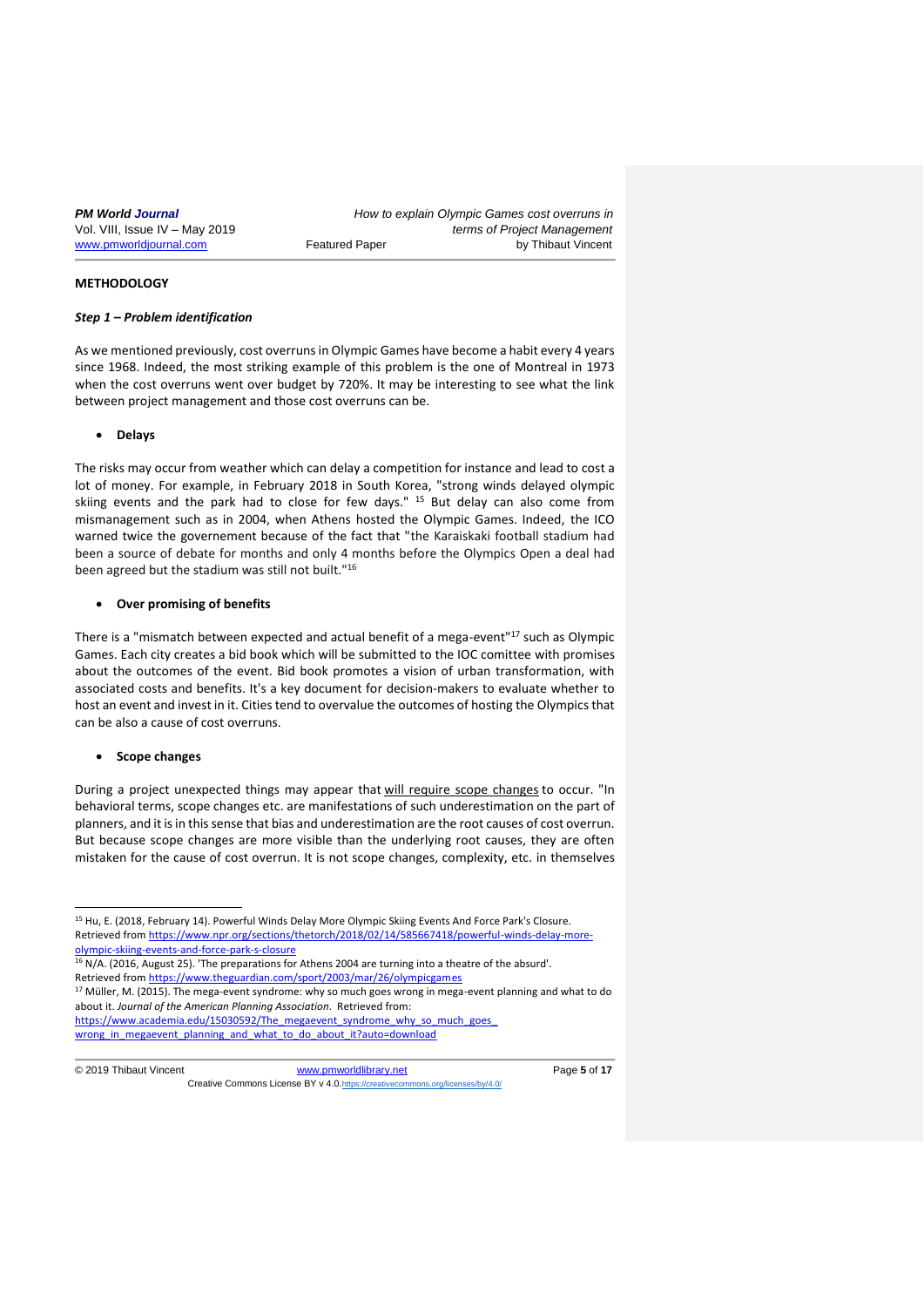# **METHODOLOGY**

#### *Step 1 – Problem identification*

As we mentioned previously, cost overruns in Olympic Games have become a habit every 4 years since 1968. Indeed, the most striking example of this problem is the one of Montreal in 1973 when the cost overruns went over budget by 720%. It may be interesting to see what the link between project management and those cost overruns can be.

#### • **Delays**

The risks may occur from weather which can delay a competition for instance and lead to cost a lot of money. For example, in February 2018 in South Korea, "strong winds delayed olympic skiing events and the park had to close for few days."  $15$  But delay can also come from mismanagement such as in 2004, when Athens hosted the Olympic Games. Indeed, the ICO warned twice the governement because of the fact that "the Karaiskaki football stadium had been a source of debate for months and only 4 months before the Olympics Open a deal had been agreed but the stadium was still not built."<sup>16</sup>

#### • **Over promising of benefits**

There is a "mismatch between expected and actual benefit of a mega-event"<sup>17</sup> such as Olympic Games. Each city creates a bid book which will be submitted to the IOC comittee with promises about the outcomes of the event. Bid book promotes a vision of urban transformation, with associated costs and benefits. It's a key document for decision-makers to evaluate whether to host an event and invest in it. Cities tend to overvalue the outcomes of hosting the Olympics that can be also a cause of cost overruns.

#### • **Scope changes**

During a project unexpected things may appear that [will require scope changes](https://www.quickbase.com/blog/4-steps-to-keep-your-project-in-scope/) to occur. "In behavioral terms, scope changes etc. are manifestations of such underestimation on the part of planners, and it is in this sense that bias and underestimation are the root causes of cost overrun. But because scope changes are more visible than the underlying root causes, they are often mistaken for the cause of cost overrun. It is not scope changes, complexity, etc. in themselves

1

<sup>&</sup>lt;sup>15</sup> Hu, E. (2018, February 14). Powerful Winds Delay More Olympic Skiing Events And Force Park's Closure. Retrieved fro[m https://www.npr.org/sections/thetorch/2018/02/14/585667418/powerful-winds-delay-more](https://www.npr.org/sections/thetorch/2018/02/14/585667418/powerful-winds-delay-more-olympic-skiing-events-and-force-park-s-closure)[olympic-skiing-events-and-force-park-s-closure](https://www.npr.org/sections/thetorch/2018/02/14/585667418/powerful-winds-delay-more-olympic-skiing-events-and-force-park-s-closure)

<sup>&</sup>lt;sup>16</sup> N/A. (2016, August 25). 'The preparations for Athens 2004 are turning into a theatre of the absurd'. Retrieved fro[m https://www.theguardian.com/sport/2003/mar/26/olympicgames](https://www.theguardian.com/sport/2003/mar/26/olympicgames)

<sup>&</sup>lt;sup>17</sup> Müller, M. (2015). The mega-event syndrome: why so much goes wrong in mega-event planning and what to do about it. *Journal of the American Planning Association*. Retrieved from:

https://www.academia.edu/15030592/The\_megaevent\_syndrome\_why\_so\_much\_goes\_ [wrong\\_in\\_megaevent\\_planning\\_and\\_what\\_to\\_do\\_about\\_it?auto=download](https://www.academia.edu/15030592/The_mega-event_syndrome_why_so_much_goes_wrong_in_mega-event_planning_and_what_to_do_about_it?auto=download)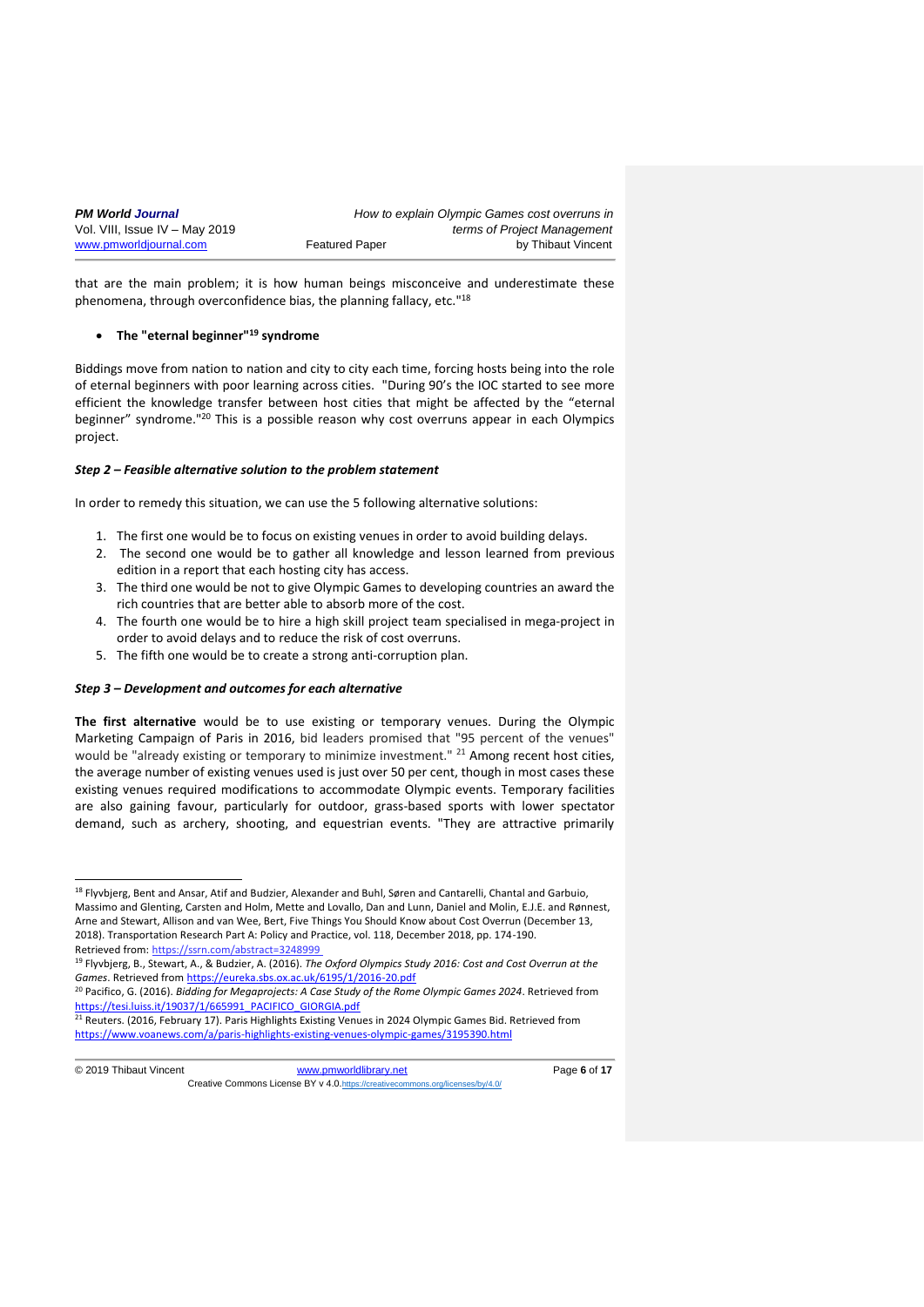| <b>PM World Journal</b>        |                       | How to explain Olympic Games cost overruns in |
|--------------------------------|-----------------------|-----------------------------------------------|
| Vol. VIII, Issue IV - May 2019 |                       | terms of Project Management                   |
| www.pmworldjournal.com         | <b>Featured Paper</b> | by Thibaut Vincent                            |

that are the main problem; it is how human beings misconceive and underestimate these phenomena, through overconfidence bias, the planning fallacy, etc."<sup>18</sup>

### • **The "eternal beginner"<sup>19</sup> syndrome**

Biddings move from nation to nation and city to city each time, forcing hosts being into the role of eternal beginners with poor learning across cities. "During 90's the IOC started to see more efficient the knowledge transfer between host cities that might be affected by the "eternal beginner" syndrome."<sup>20</sup> This is a possible reason why cost overruns appear in each Olympics project.

#### *Step 2 – Feasible alternative solution to the problem statement*

In order to remedy this situation, we can use the 5 following alternative solutions:

- 1. The first one would be to focus on existing venues in order to avoid building delays.
- 2. The second one would be to gather all knowledge and lesson learned from previous edition in a report that each hosting city has access.
- 3. The third one would be not to give Olympic Games to developing countries an award the rich countries that are better able to absorb more of the cost.
- 4. The fourth one would be to hire a high skill project team specialised in mega-project in order to avoid delays and to reduce the risk of cost overruns.
- 5. The fifth one would be to create a strong anti-corruption plan.

### *Step 3 – Development and outcomes for each alternative*

**The first alternative** would be to use existing or temporary venues. During the Olympic Marketing Campaign of Paris in 2016, bid leaders promised that "95 percent of the venues" would be "already existing or temporary to minimize investment." <sup>21</sup> Among recent host cities, the average number of existing venues used is just over 50 per cent, though in most cases these existing venues required modifications to accommodate Olympic events. Temporary facilities are also gaining favour, particularly for outdoor, grass-based sports with lower spectator demand, such as archery, shooting, and equestrian events. "They are attractive primarily

1

<sup>&</sup>lt;sup>18</sup> Flyvbjerg, Bent and Ansar, Atif and Budzier, Alexander and Buhl, Søren and Cantarelli, Chantal and Garbuio, Massimo and Glenting, Carsten and Holm, Mette and Lovallo, Dan and Lunn, Daniel and Molin, E.J.E. and Rønnest, Arne and Stewart, Allison and van Wee, Bert, Five Things You Should Know about Cost Overrun (December 13, 2018). Transportation Research Part A: Policy and Practice, vol. 118, December 2018, pp. 174-190. Retrieved from: https://ssrn.com/abstract=32489

<sup>19</sup> Flyvbjerg, B., Stewart, A., & Budzier, A. (2016). *The Oxford Olympics Study 2016: Cost and Cost Overrun at the Games*. Retrieved from<https://eureka.sbs.ox.ac.uk/6195/1/2016-20.pdf>

<sup>20</sup> Pacifico, G. (2016). *Bidding for Megaprojects: A Case Study of the Rome Olympic Games 2024*. Retrieved from [https://tesi.luiss.it/19037/1/665991\\_PACIFICO\\_GIORGIA.pdf](https://tesi.luiss.it/19037/1/665991_PACIFICO_GIORGIA.pdf)

<sup>&</sup>lt;sup>21</sup> Reuters. (2016, February 17). Paris Highlights Existing Venues in 2024 Olympic Games Bid. Retrieved from <https://www.voanews.com/a/paris-highlights-existing-venues-olympic-games/3195390.html>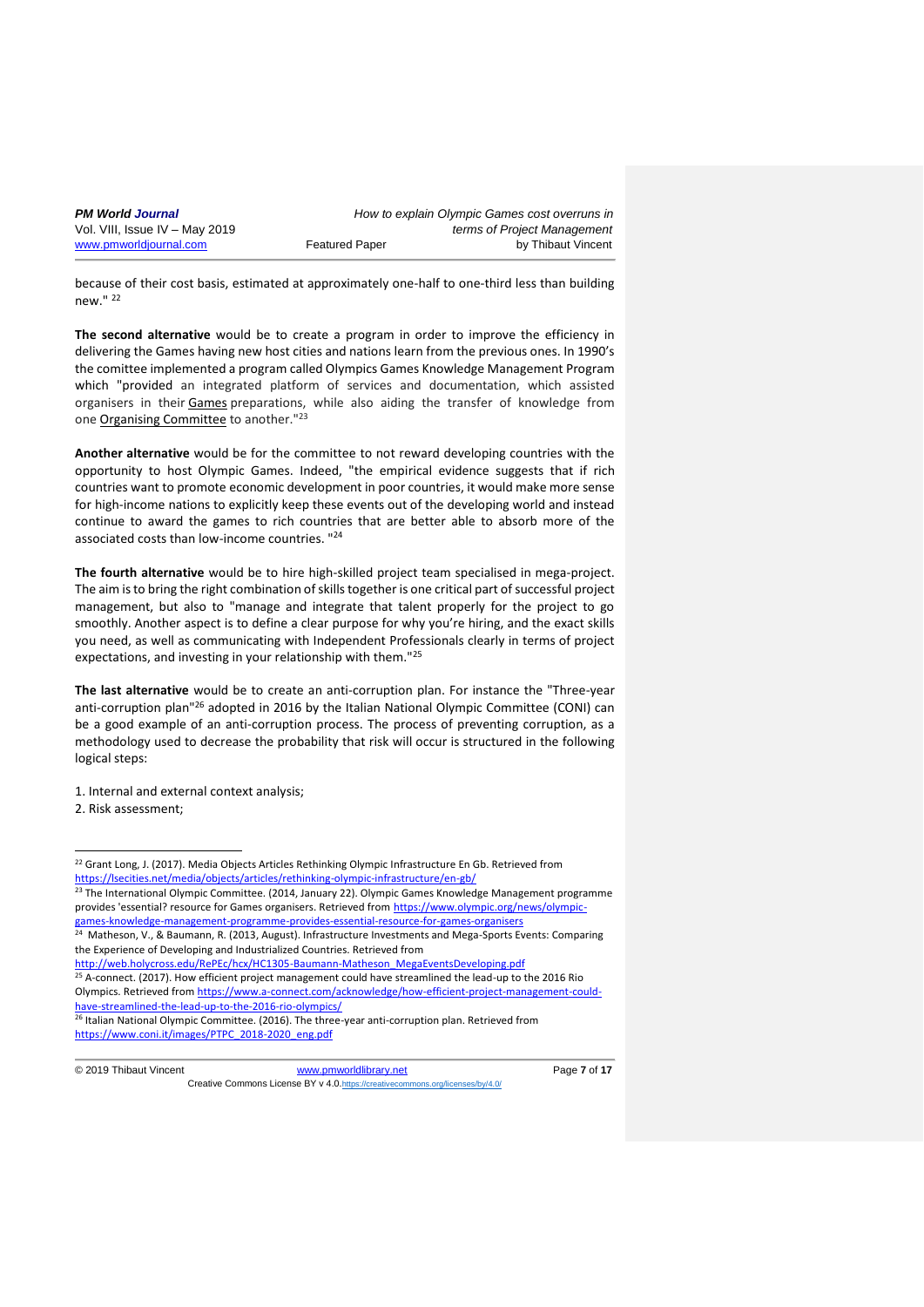| <b>PM World Journal</b>        |                       | How to explain Olympic Games cost overruns in |
|--------------------------------|-----------------------|-----------------------------------------------|
| Vol. VIII, Issue IV - May 2019 |                       | terms of Project Management                   |
| www.pmworldjournal.com         | <b>Featured Paper</b> | by Thibaut Vincent                            |

because of their cost basis, estimated at approximately one-half to one-third less than building new." <sup>22</sup>

**The second alternative** would be to create a program in order to improve the efficiency in delivering the Games having new host cities and nations learn from the previous ones. In 1990's the comittee implemented a program called Olympics Games Knowledge Management Program which "provided an integrated platform of services and documentation, which assisted organisers in their [Games](http://www.olympic.org/olympic-games) preparations, while also aiding the transfer of knowledge from one [Organising Committee](http://www.olympic.org/ioc-governance-organising-committees) to another."<sup>23</sup>

**Another alternative** would be for the committee to not reward developing countries with the opportunity to host Olympic Games. Indeed, "the empirical evidence suggests that if rich countries want to promote economic development in poor countries, it would make more sense for high-income nations to explicitly keep these events out of the developing world and instead continue to award the games to rich countries that are better able to absorb more of the associated costs than low-income countries. "<sup>24</sup>

**The fourth alternative** would be to hire high-skilled project team specialised in mega-project. The aim is to bring the right combination of skills together is one critical part of successful project management, but also to "manage and integrate that talent properly for the project to go smoothly. Another aspect is to define a clear purpose for why you're hiring, and the exact skills you need, as well as communicating with Independent Professionals clearly in terms of project expectations, and investing in your relationship with them."<sup>25</sup>

**The last alternative** would be to create an anti-corruption plan. For instance the "Three-year anti-corruption plan"<sup>26</sup> adopted in 2016 by the Italian National Olympic Committee (CONI) can be a good example of an anti-corruption process. The process of preventing corruption, as a methodology used to decrease the probability that risk will occur is structured in the following logical steps:

1. Internal and external context analysis; 2. Risk assessment;

 $25$  A-connect. (2017). How efficient project management could have streamlined the lead-up to the 2016 Rio Olympics. Retrieved from [https://www.a-connect.com/acknowledge/how-efficient-project-management-could](https://www.a-connect.com/acknowledge/how-efficient-project-management-could-have-streamlined-the-lead-up-to-the-2016-rio-olympics/)[have-streamlined-the-lead-up-to-the-2016-rio-olympics/](https://www.a-connect.com/acknowledge/how-efficient-project-management-could-have-streamlined-the-lead-up-to-the-2016-rio-olympics/)

<sup>26</sup> Italian National Olympic Committee. (2016). The three-year anti-corruption plan. Retrieved from [https://www.coni.it/images/PTPC\\_2018-2020\\_eng.pdf](https://www.coni.it/images/PTPC_2018-2020_eng.pdf)

1

 $22$  Grant Long, J. (2017). Media Objects Articles Rethinking Olympic Infrastructure En Gb. Retrieved from <https://lsecities.net/media/objects/articles/rethinking-olympic-infrastructure/en-gb/>

<sup>&</sup>lt;sup>23</sup> The International Olympic Committee. (2014, January 22). Olympic Games Knowledge Management programme provides 'essential? resource for Games organisers. Retrieved from [https://www.olympic.org/news/olympic-](https://www.olympic.org/news/olympic-games-knowledge-management-programme-provides-essential-resource-for-games-organisers)

[games-knowledge-management-programme-provides-essential-resource-for-games-organisers](https://www.olympic.org/news/olympic-games-knowledge-management-programme-provides-essential-resource-for-games-organisers)<br><sup>24</sup> Matheson, V., & Baumann, R. (2013, August). Infrastructure Investments and Mega-Sports Events: Comparing the Experience of Developing and Industrialized Countries. Retrieved from

[http://web.holycross.edu/RePEc/hcx/HC1305-Baumann-Matheson\\_MegaEventsDeveloping.pdf](http://web.holycross.edu/RePEc/hcx/HC1305-Baumann-Matheson_MegaEventsDeveloping.pdf)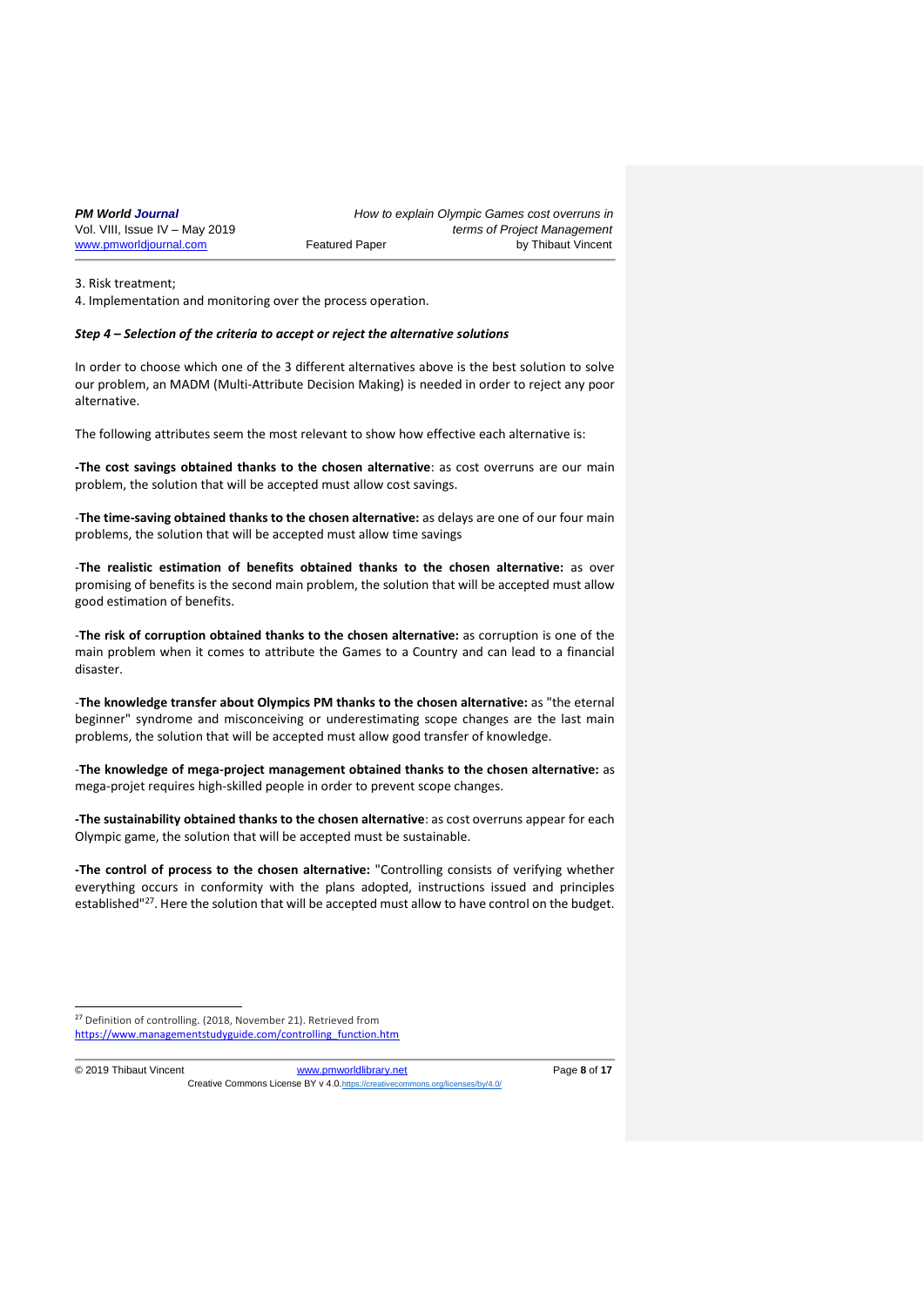| <b>PM World Journal</b>        |                       | How to explain Olympic Games cost overruns in |
|--------------------------------|-----------------------|-----------------------------------------------|
| Vol. VIII, Issue IV - May 2019 |                       | terms of Project Management                   |
| www.pmworldjournal.com         | <b>Featured Paper</b> | by Thibaut Vincent                            |

3. Risk treatment;

4. Implementation and monitoring over the process operation.

#### *Step 4 – Selection of the criteria to accept or reject the alternative solutions*

In order to choose which one of the 3 different alternatives above is the best solution to solve our problem, an MADM (Multi-Attribute Decision Making) is needed in order to reject any poor alternative.

The following attributes seem the most relevant to show how effective each alternative is:

**-The cost savings obtained thanks to the chosen alternative**: as cost overruns are our main problem, the solution that will be accepted must allow cost savings.

-**The time-saving obtained thanks to the chosen alternative:** as delays are one of our four main problems, the solution that will be accepted must allow time savings

-**The realistic estimation of benefits obtained thanks to the chosen alternative:** as over promising of benefits is the second main problem, the solution that will be accepted must allow good estimation of benefits.

-**The risk of corruption obtained thanks to the chosen alternative:** as corruption is one of the main problem when it comes to attribute the Games to a Country and can lead to a financial disaster.

-**The knowledge transfer about Olympics PM thanks to the chosen alternative:** as "the eternal beginner" syndrome and misconceiving or underestimating scope changes are the last main problems, the solution that will be accepted must allow good transfer of knowledge.

-**The knowledge of mega-project management obtained thanks to the chosen alternative:** as mega-projet requires high-skilled people in order to prevent scope changes.

**-The sustainability obtained thanks to the chosen alternative**: as cost overruns appear for each Olympic game, the solution that will be accepted must be sustainable.

**-The control of process to the chosen alternative:** "Controlling consists of verifying whether everything occurs in conformity with the plans adopted, instructions issued and principles established"<sup>27</sup>. Here the solution that will be accepted must allow to have control on the budget.

1

© 2019 Thibaut Vincent [www.pmworldlibrary.net](http://www.pmworldlibrary.net/) Page **8** of **17** Creative Commons License BY v 4.0. https://creative

<sup>&</sup>lt;sup>27</sup> Definition of controlling. (2018, November 21). Retrieved from [https://www.managementstudyguide.com/controlling\\_function.htm](https://www.managementstudyguide.com/controlling_function.htm)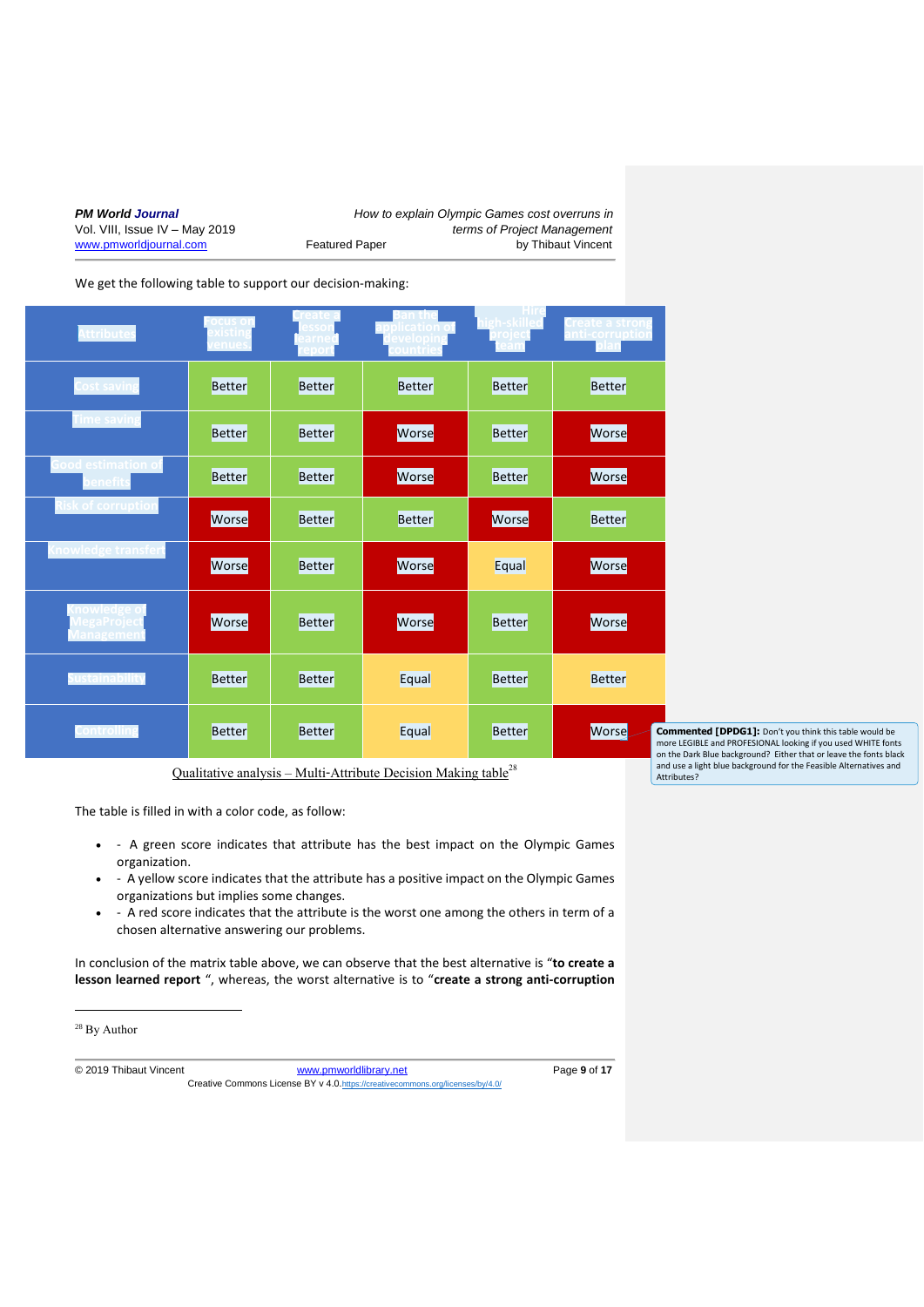| <b>PM World Journal</b>        |  |  |  |  |
|--------------------------------|--|--|--|--|
| Vol. VIII, Issue IV - May 2019 |  |  |  |  |
| www.pmworldiournal.com         |  |  |  |  |

*How to explain Olympic Games cost overruns in* terms of Project Management Featured Paper **by Thibaut Vincent** 

We get the following table to support our decision-making:

| ttributes                               | <b>xisting</b><br>enues | arne          | velopir       | igh-skille<br>rojec <mark>t</mark> | `reate a strong<br>nti-corruption            |
|-----------------------------------------|-------------------------|---------------|---------------|------------------------------------|----------------------------------------------|
| Cost saving                             | <b>Better</b>           | <b>Better</b> | <b>Better</b> | Better                             | Better                                       |
| <b>Time saving</b>                      | <b>Better</b>           | <b>Better</b> | Worse         | Better                             | Worse                                        |
| iood estimation of<br>enefit            | Better                  | <b>Better</b> | Worse         | Better                             | Worse                                        |
| sk of corruption                        | Worse                   | Better        | Better        | Worse                              | Better                                       |
| nowledge transfert                      | Worse                   | <b>Better</b> | Worse         | Equal                              | Worse                                        |
| nowledge o<br>⁄legaProject<br>lanagemen | Worse                   | <b>Better</b> | Worse         | Better                             | Worse                                        |
| ustainability                           | <b>Better</b>           | <b>Better</b> | Equal         | <b>Better</b>                      | <b>Better</b>                                |
| Controlling                             | <b>Better</b>           | <b>Better</b> | Equal         | <b>Better</b>                      | Worse<br>Cor<br>mor<br>$\alpha$ <sup>+</sup> |

Qualitative analysis – Multi-Attribute Decision Making table<sup>28</sup>

The table is filled in with a color code, as follow:

- - A green score indicates that attribute has the best impact on the Olympic Games organization.
- - A yellow score indicates that the attribute has a positive impact on the Olympic Games organizations but implies some changes.
- - A red score indicates that the attribute is the worst one among the others in term of a chosen alternative answering our problems.

In conclusion of the matrix table above, we can observe that the best alternative is "**to create a lesson learned report** ", whereas, the worst alternative is to "**create a strong anti-corruption** 

<sup>28</sup> By Author

1

© 2019 Thibaut Vincent [www.pmworldlibrary.net](http://www.pmworldlibrary.net/) Page **9** of **17** Creative Commons License BY v 4.0.<https://creativecommons.org/licenses/by/4.0/>

**mmented [DPDG1]:** Don't you think this table would be more LEGIBLE and PROFESIONAL looking if you used WHITE fonts on the Dark Blue background? Either that or leave the fonts black and use a light blue background for the Feasible Alternatives and Attributes?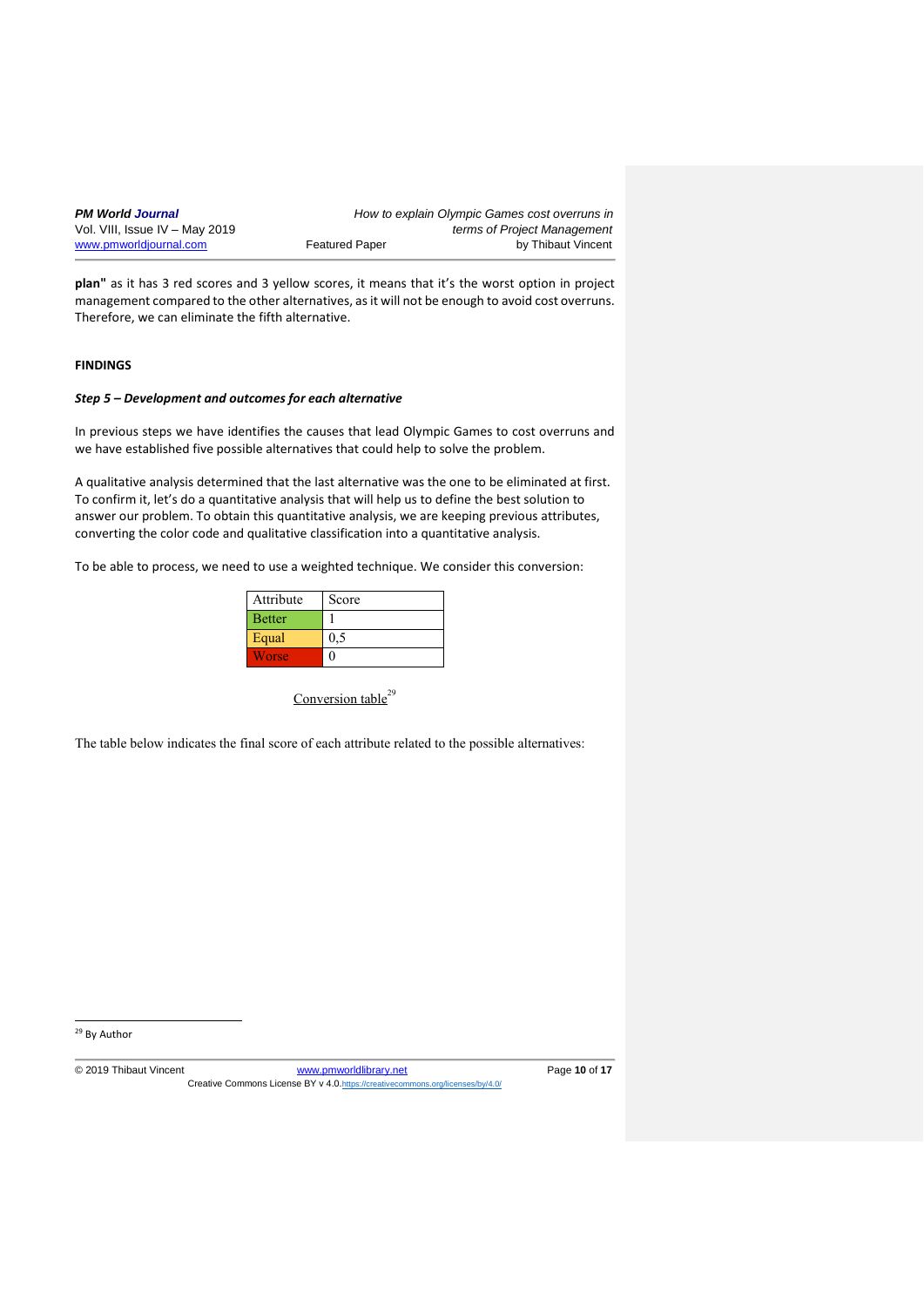| <b>PM World Journal</b>        |                       | How to explain Olympic Games cost overruns in |
|--------------------------------|-----------------------|-----------------------------------------------|
| Vol. VIII, Issue IV – May 2019 |                       | terms of Project Management                   |
| www.pmworldjournal.com         | <b>Featured Paper</b> | by Thibaut Vincent                            |

**plan"** as it has 3 red scores and 3 yellow scores, it means that it's the worst option in project management compared to the other alternatives, as it will not be enough to avoid cost overruns. Therefore, we can eliminate the fifth alternative.

# **FINDINGS**

# *Step 5 – Development and outcomes for each alternative*

In previous steps we have identifies the causes that lead Olympic Games to cost overruns and we have established five possible alternatives that could help to solve the problem.

A qualitative analysis determined that the last alternative was the one to be eliminated at first. To confirm it, let's do a quantitative analysis that will help us to define the best solution to answer our problem. To obtain this quantitative analysis, we are keeping previous attributes, converting the color code and qualitative classification into a quantitative analysis.

To be able to process, we need to use a weighted technique. We consider this conversion:

| Attribute     | Score |
|---------------|-------|
| <b>Better</b> |       |
| Equal         | 0,5   |
| Worse         |       |

Conversion table<sup>29</sup>

The table below indicates the final score of each attribute related to the possible alternatives:

<sup>29</sup> By Author

1

© 2019 Thibaut Vincent [www.pmworldlibrary.net](http://www.pmworldlibrary.net/) Page **10** of **17** Creative Commons License BY v 4.0.<https://creativecommons.org/licenses/by/4.0/>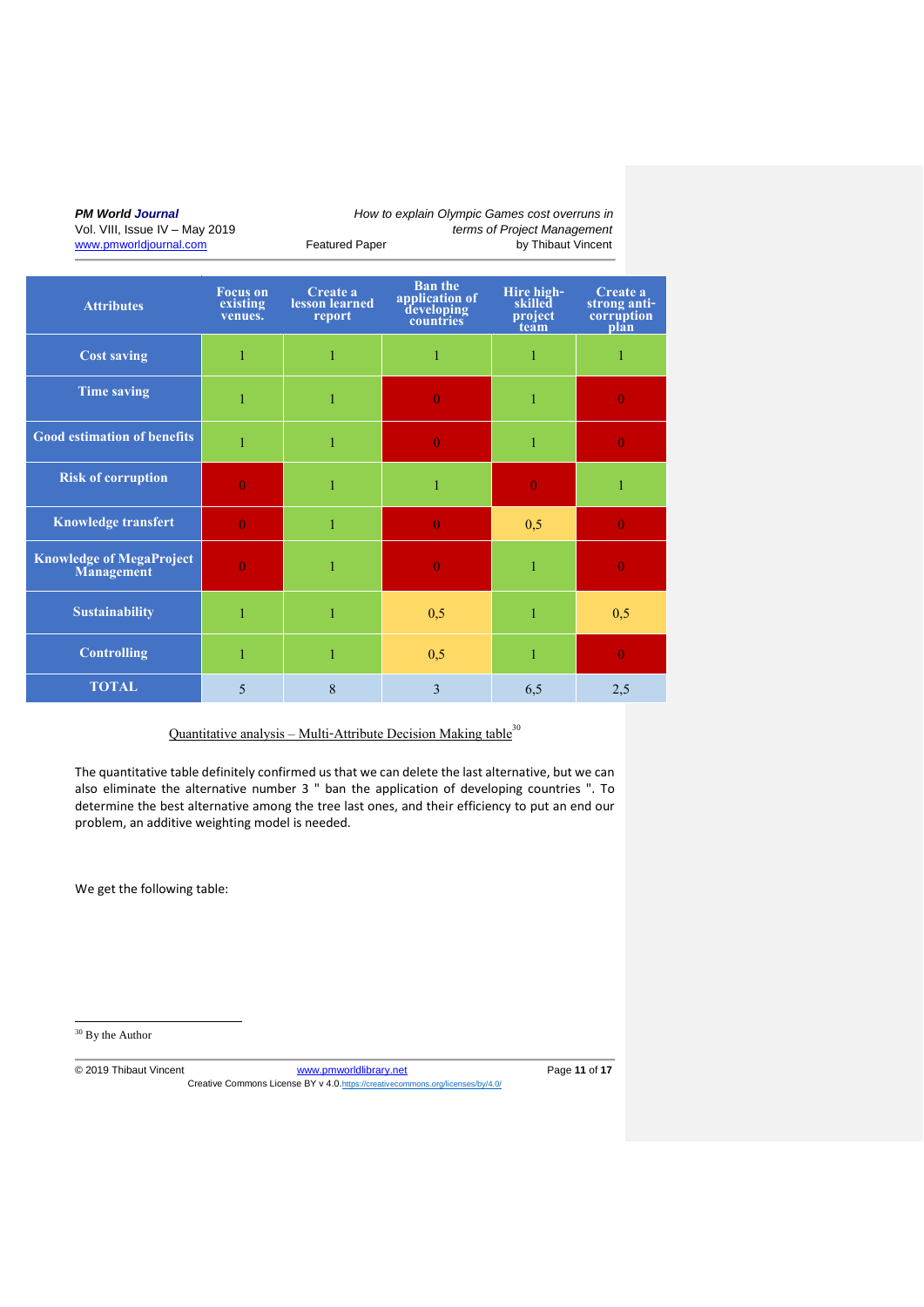| <b>Attributes</b>                                    | <b>Focus</b> on<br>existing<br>venues. | Create a<br>lesson learned<br>report | <b>Ban the</b><br>application of<br>developing<br>countries | Hire high-<br>skilled<br>project<br>team | Create a<br>strong anti-<br>corruption<br>plan |
|------------------------------------------------------|----------------------------------------|--------------------------------------|-------------------------------------------------------------|------------------------------------------|------------------------------------------------|
| <b>Cost saving</b>                                   | 1                                      | 1                                    | 1                                                           | 1                                        |                                                |
| <b>Time saving</b>                                   | 1                                      | 1                                    | $\Omega$                                                    | 1                                        | 0                                              |
| <b>Good estimation of benefits</b>                   | 1                                      | 1                                    | $\theta$                                                    | 1                                        | $\theta$                                       |
| <b>Risk of corruption</b>                            | $\Omega$                               | 1                                    | 1                                                           | $\theta$                                 |                                                |
| <b>Knowledge transfert</b>                           | $\theta$                               | 1                                    | $\overline{0}$                                              | 0,5                                      | $\theta$                                       |
| <b>Knowledge of MegaProject</b><br><b>Management</b> | $\Omega$                               | 1                                    | $\overline{0}$                                              | 1                                        | $\mathbf{0}$                                   |
| <b>Sustainability</b>                                | 1                                      | 1                                    | 0,5                                                         | $\mathbf{1}$                             | 0,5                                            |
| <b>Controlling</b>                                   | 1                                      | 1                                    | 0,5                                                         | 1                                        | $\Omega$                                       |
| <b>TOTAL</b>                                         | 5                                      | 8                                    | 3                                                           | 6,5                                      | 2,5                                            |

Quantitative analysis – Multi-Attribute Decision Making table $30$ 

The quantitative table definitely confirmed us that we can delete the last alternative, but we can also eliminate the alternative number 3 " ban the application of developing countries ". To determine the best alternative among the tree last ones, and their efficiency to put an end our problem, an additive weighting model is needed.

We get the following table:

<sup>30</sup> By the Author

1

© 2019 Thibaut Vincent [www.pmworldlibrary.net](http://www.pmworldlibrary.net/) Page **11** of **17** Creative Commons License BY v 4.0.<https://creativecommons.org/licenses/by/4.0/>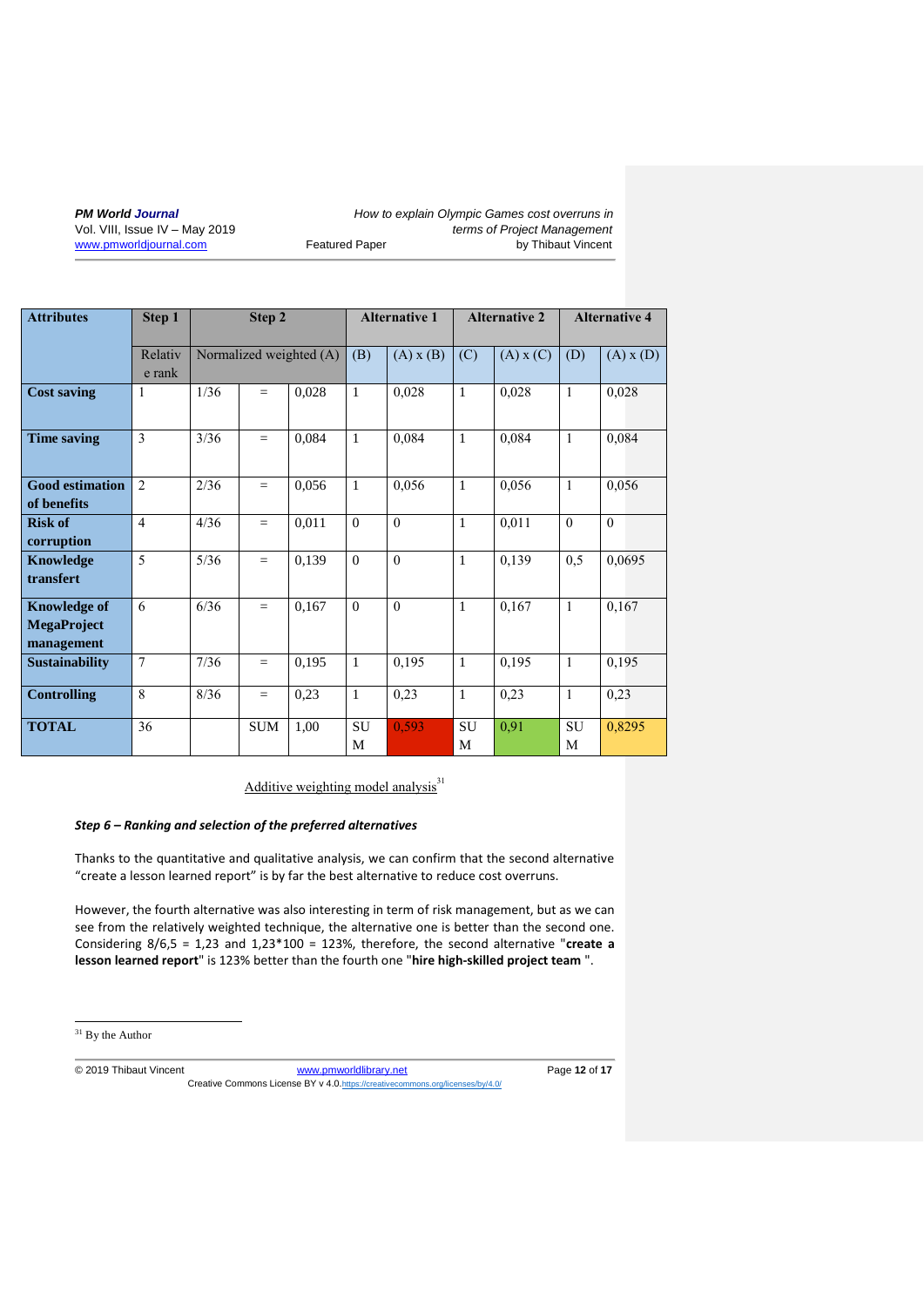| <b>Attributes</b>                                       | Step 1            | Step 2 |            |                         | <b>Alternative 1</b> |               | <b>Alternative 2</b> |               | <b>Alternative 4</b> |               |
|---------------------------------------------------------|-------------------|--------|------------|-------------------------|----------------------|---------------|----------------------|---------------|----------------------|---------------|
|                                                         | Relativ<br>e rank |        |            | Normalized weighted (A) | (B)                  | $(A)$ x $(B)$ | (C)                  | $(A)$ x $(C)$ | (D)                  | $(A)$ x $(D)$ |
| <b>Cost saving</b>                                      | 1                 | 1/36   | $=$        | 0,028                   | $\mathbf{1}$         | 0,028         | $\mathbf{1}$         | 0,028         | $\overline{1}$       | 0,028         |
| <b>Time saving</b>                                      | 3                 | 3/36   | $=$        | 0,084                   | $\mathbf{1}$         | 0,084         | $\mathbf{1}$         | 0,084         | $\mathbf{1}$         | 0,084         |
| <b>Good estimation</b><br>of benefits                   | 2                 | 2/36   | $=$        | 0,056                   | $\mathbf{1}$         | 0,056         | $\mathbf{1}$         | 0,056         | $\mathbf{1}$         | 0,056         |
| <b>Risk of</b><br>corruption                            | $\overline{4}$    | 4/36   | $=$        | 0,011                   | $\Omega$             | $\Omega$      | $\mathbf{1}$         | 0,011         | $\Omega$             | $\theta$      |
| Knowledge<br>transfert                                  | $\overline{5}$    | 5/36   | $=$        | 0,139                   | $\Omega$             | $\theta$      | $\mathbf{1}$         | 0,139         | 0,5                  | 0,0695        |
| <b>Knowledge of</b><br><b>MegaProject</b><br>management | 6                 | 6/36   | $=$        | 0,167                   | $\theta$             | $\theta$      | $\mathbf{1}$         | 0,167         | $\mathbf{1}$         | 0,167         |
| <b>Sustainability</b>                                   | $\overline{7}$    | 7/36   | $=$        | 0,195                   | $\mathbf{1}$         | 0,195         | $\mathbf{1}$         | 0,195         | $\mathbf{1}$         | 0,195         |
| <b>Controlling</b>                                      | 8                 | 8/36   | $=$        | 0,23                    | $\mathbf{1}$         | 0,23          | $\mathbf{1}$         | 0,23          | $\mathbf{1}$         | 0,23          |
| <b>TOTAL</b>                                            | 36                |        | <b>SUM</b> | 1,00                    | SU<br>M              | 0,593         | SU<br>M              | 0,91          | SU<br>M              | 0,8295        |

Additive weighting model analysis $31$ 

# *Step 6 – Ranking and selection of the preferred alternatives*

Thanks to the quantitative and qualitative analysis, we can confirm that the second alternative "create a lesson learned report" is by far the best alternative to reduce cost overruns.

However, the fourth alternative was also interesting in term of risk management, but as we can see from the relatively weighted technique, the alternative one is better than the second one. Considering 8/6,5 = 1,23 and 1,23\*100 = 123%, therefore, the second alternative "**create a lesson learned report**" is 123% better than the fourth one "**hire high-skilled project team** ".

<sup>31</sup> By the Author

1

© 2019 Thibaut Vincent [www.pmworldlibrary.net](http://www.pmworldlibrary.net/) Page **12** of **17** Creative Commons License BY v 4.0.<https://creativecommons.org/licenses/by/4.0/>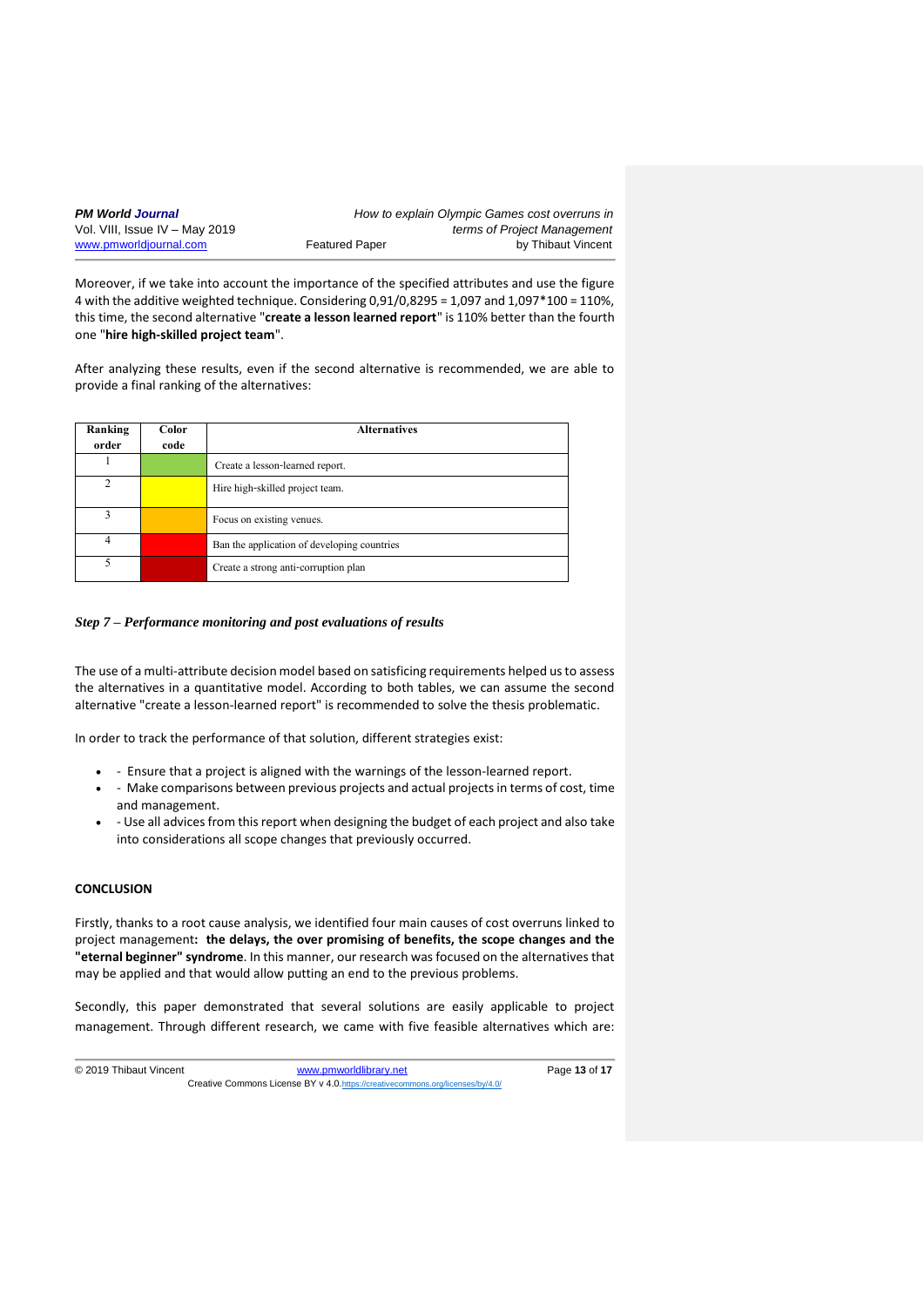| <b>PM World Journal</b>        |                       | How to explain Olympic Games cost overruns in |
|--------------------------------|-----------------------|-----------------------------------------------|
| Vol. VIII, Issue IV – May 2019 |                       | terms of Project Management                   |
| www.pmworldjournal.com         | <b>Featured Paper</b> | by Thibaut Vincent                            |

Moreover, if we take into account the importance of the specified attributes and use the figure 4 with the additive weighted technique. Considering  $0.91/0.8295 = 1.097$  and  $1.097*100 = 110%$ , this time, the second alternative "**create a lesson learned report**" is 110% better than the fourth one "**hire high-skilled project team**".

After analyzing these results, even if the second alternative is recommended, we are able to provide a final ranking of the alternatives:

| Ranking       | Color | <b>Alternatives</b>                         |
|---------------|-------|---------------------------------------------|
| order         | code  |                                             |
|               |       | Create a lesson-learned report.             |
| $\mathcal{D}$ |       | Hire high-skilled project team.             |
| ٦             |       | Focus on existing venues.                   |
| 4             |       | Ban the application of developing countries |
| 5             |       | Create a strong anti-corruption plan        |

# *Step 7 – Performance monitoring and post evaluations of results*

The use of a multi-attribute decision model based on satisficing requirements helped us to assess the alternatives in a quantitative model. According to both tables, we can assume the second alternative "create a lesson-learned report" is recommended to solve the thesis problematic.

In order to track the performance of that solution, different strategies exist:

- - Ensure that a project is aligned with the warnings of the lesson-learned report.
- - Make comparisons between previous projects and actual projects in terms of cost, time and management.
- - Use all advices from this report when designing the budget of each project and also take into considerations all scope changes that previously occurred.

#### **CONCLUSION**

Firstly, thanks to a root cause analysis, we identified four main causes of cost overruns linked to project management**: the delays, the over promising of benefits, the scope changes and the "eternal beginner" syndrome**. In this manner, our research was focused on the alternatives that may be applied and that would allow putting an end to the previous problems.

Secondly, this paper demonstrated that several solutions are easily applicable to project management. Through different research, we came with five feasible alternatives which are: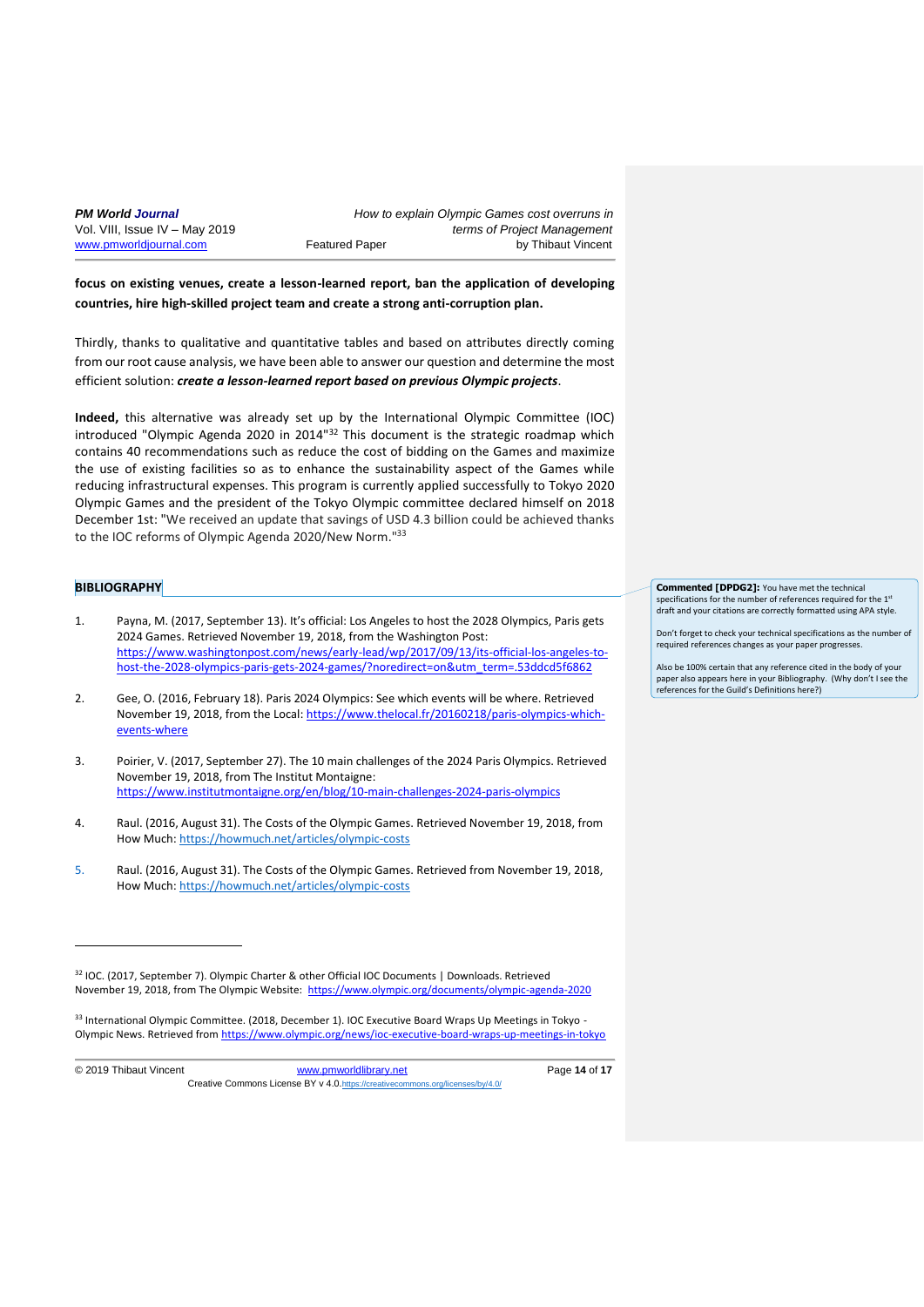**focus on existing venues, create a lesson-learned report, ban the application of developing countries, hire high-skilled project team and create a strong anti-corruption plan.**

Thirdly, thanks to qualitative and quantitative tables and based on attributes directly coming from our root cause analysis, we have been able to answer our question and determine the most efficient solution: *create a lesson-learned report based on previous Olympic projects*.

**Indeed,** this alternative was already set up by the International Olympic Committee (IOC) introduced "Olympic Agenda 2020 in 2014" $^{32}$  This document is the strategic roadmap which contains 40 recommendations such as reduce the cost of bidding on the Games and maximize the use of existing facilities so as to enhance the sustainability aspect of the Games while reducing infrastructural expenses. This program is currently applied successfully to Tokyo 2020 Olympic Games and the president of the Tokyo Olympic committee declared himself on 2018 December 1st: "We received an update that savings of USD 4.3 billion could be achieved thanks to the IOC reforms of Olympic Agenda 2020/New Norm."<sup>33</sup>

### **BIBLIOGRAPHY**

- 1. Payna, M. (2017, September 13). It's official: Los Angeles to host the 2028 Olympics, Paris gets 2024 Games. Retrieved November 19, 2018, from the Washington Post: [https://www.washingtonpost.com/news/early-lead/wp/2017/09/13/its-official-los-angeles-to](https://www.washingtonpost.com/news/early-lead/wp/2017/09/13/its-official-los-angeles-to-host-the-2028-olympics-paris-gets-2024-games/?noredirect=on&utm_term=.53ddcd5f6862)[host-the-2028-olympics-paris-gets-2024-games/?noredirect=on&utm\\_term=.53ddcd5f6862](https://www.washingtonpost.com/news/early-lead/wp/2017/09/13/its-official-los-angeles-to-host-the-2028-olympics-paris-gets-2024-games/?noredirect=on&utm_term=.53ddcd5f6862)
- 2. Gee, O. (2016, February 18). Paris 2024 Olympics: See which events will be where. Retrieved November 19, 2018, from the Local: [https://www.thelocal.fr/20160218/paris-olympics-which](https://www.thelocal.fr/20160218/paris-olympics-which-events-where)[events-where](https://www.thelocal.fr/20160218/paris-olympics-which-events-where)
- 3. Poirier, V. (2017, September 27). The 10 main challenges of the 2024 Paris Olympics. Retrieved November 19, 2018, from The Institut Montaigne: <https://www.institutmontaigne.org/en/blog/10-main-challenges-2024-paris-olympics>
- 4. Raul. (2016, August 31). The Costs of the Olympic Games. Retrieved November 19, 2018, from How Much:<https://howmuch.net/articles/olympic-costs>
- 5. Raul. (2016, August 31). The Costs of the Olympic Games. Retrieved from November 19, 2018, How Much:<https://howmuch.net/articles/olympic-costs>

33 International Olympic Committee. (2018, December 1). IOC Executive Board Wraps Up Meetings in Tokyo -Olympic News. Retrieved from<https://www.olympic.org/news/ioc-executive-board-wraps-up-meetings-in-tokyo>

1

**Commented [DPDG2]:** You have met the technical specifications for the number of references required for the 1st draft and your citations are correctly formatted using APA style.

Don't forget to check your technical specifications as the number of required references changes as your paper progress.

Also be 100% certain that any reference cited in the body of your paper also appears here in your Bibliography. (Why don't I see the references for the Guild's Definitions here?)

<sup>32</sup> IOC. (2017, September 7). Olympic Charter & other Official IOC Documents | Downloads. Retrieved November 19, 2018, from The Olympic Website: <https://www.olympic.org/documents/olympic-agenda-2020>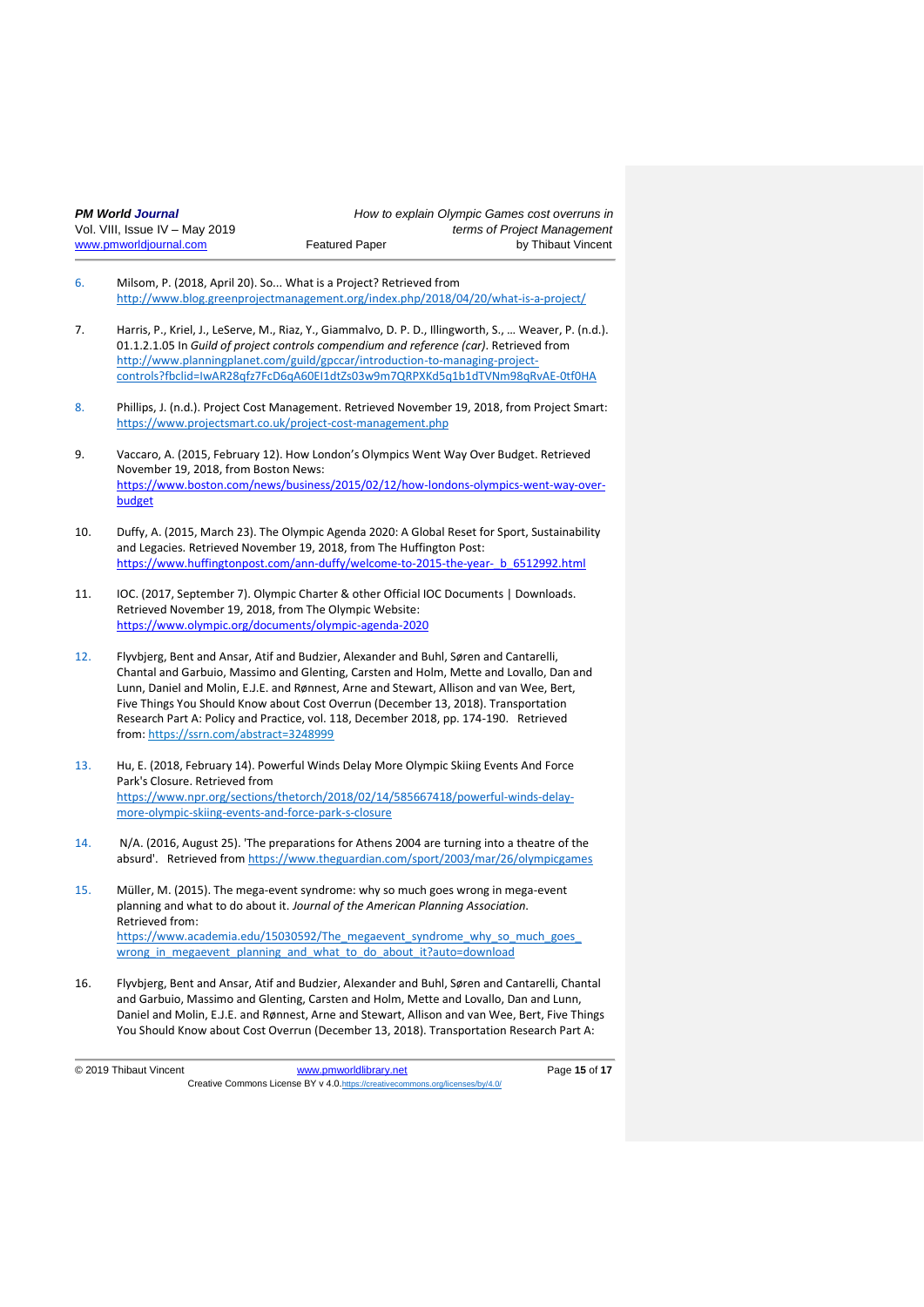| <b>PM World Journal</b>        |                       | How to explain Olympic Games cost overruns in |
|--------------------------------|-----------------------|-----------------------------------------------|
| Vol. VIII, Issue IV – May 2019 |                       | terms of Project Management                   |
| www.pmworldjournal.com         | <b>Featured Paper</b> | by Thibaut Vincent                            |

- 6. Milsom, P. (2018, April 20). So... What is a Project? Retrieved from <http://www.blog.greenprojectmanagement.org/index.php/2018/04/20/what-is-a-project/>
- 7. Harris, P., Kriel, J., LeServe, M., Riaz, Y., Giammalvo, D. P. D., Illingworth, S., … Weaver, P. (n.d.). 01.1.2.1.05 In *Guild of project controls compendium and reference (car)*. Retrieved from [http://www.planningplanet.com/guild/gpccar/introduction-to-managing-project](http://www.planningplanet.com/guild/gpccar/introduction-to-managing-project-controls?fbclid=IwAR28qfz7FcD6qA60EI1dtZs03w9m7QRPXKd5q1b1dTVNm98qRvAE-0tf0HA)[controls?fbclid=IwAR28qfz7FcD6qA60EI1dtZs03w9m7QRPXKd5q1b1dTVNm98qRvAE-0tf0HA](http://www.planningplanet.com/guild/gpccar/introduction-to-managing-project-controls?fbclid=IwAR28qfz7FcD6qA60EI1dtZs03w9m7QRPXKd5q1b1dTVNm98qRvAE-0tf0HA)
- 8. Phillips, J. (n.d.). Project Cost Management. Retrieved November 19, 2018, from Project Smart: <https://www.projectsmart.co.uk/project-cost-management.php>
- 9. Vaccaro, A. (2015, February 12). How London's Olympics Went Way Over Budget. Retrieved November 19, 2018, from Boston News: [https://www.boston.com/news/business/2015/02/12/how-londons-olympics-went-way-over](https://www.boston.com/news/business/2015/02/12/how-londons-olympics-went-way-over-budget)[budget](https://www.boston.com/news/business/2015/02/12/how-londons-olympics-went-way-over-budget)
- 10. Duffy, A. (2015, March 23). The Olympic Agenda 2020: A Global Reset for Sport, Sustainability and Legacies. Retrieved November 19, 2018, from The Huffington Post: [https://www.huffingtonpost.com/ann-duffy/welcome-to-2015-the-year-\\_b\\_6512992.html](https://www.huffingtonpost.com/ann-duffy/welcome-to-2015-the-year-_b_6512992.html)
- 11. IOC. (2017, September 7). Olympic Charter & other Official IOC Documents | Downloads. Retrieved November 19, 2018, from The Olympic Website: <https://www.olympic.org/documents/olympic-agenda-2020>
- 12. Flyvbjerg, Bent and Ansar, Atif and Budzier, Alexander and Buhl, Søren and Cantarelli, Chantal and Garbuio, Massimo and Glenting, Carsten and Holm, Mette and Lovallo, Dan and Lunn, Daniel and Molin, E.J.E. and Rønnest, Arne and Stewart, Allison and van Wee, Bert, Five Things You Should Know about Cost Overrun (December 13, 2018). Transportation Research Part A: Policy and Practice, vol. 118, December 2018, pp. 174-190. Retrieved from: <https://ssrn.com/abstract=3248999>
- 13. Hu, E. (2018, February 14). Powerful Winds Delay More Olympic Skiing Events And Force Park's Closure. Retrieved from [https://www.npr.org/sections/thetorch/2018/02/14/585667418/powerful-winds-delay](https://www.npr.org/sections/thetorch/2018/02/14/585667418/powerful-winds-delay-more-olympic-skiing-events-and-force-park-s-closure)[more-olympic-skiing-events-and-force-park-s-closure](https://www.npr.org/sections/thetorch/2018/02/14/585667418/powerful-winds-delay-more-olympic-skiing-events-and-force-park-s-closure)
- 14. N/A. (2016, August 25). 'The preparations for Athens 2004 are turning into a theatre of the absurd'. Retrieved fro[m https://www.theguardian.com/sport/2003/mar/26/olympicgames](https://www.theguardian.com/sport/2003/mar/26/olympicgames)
- 15. Müller, M. (2015). The mega-event syndrome: why so much goes wrong in mega-event planning and what to do about it. *Journal of the American Planning Association*. Retrieved from: https://www.academia.edu/15030592/The\_megaevent\_syndrome\_why\_so\_much\_goes wrong in megaevent planning and what to do about it?auto=download
- 16. Flyvbjerg, Bent and Ansar, Atif and Budzier, Alexander and Buhl, Søren and Cantarelli, Chantal and Garbuio, Massimo and Glenting, Carsten and Holm, Mette and Lovallo, Dan and Lunn, Daniel and Molin, E.J.E. and Rønnest, Arne and Stewart, Allison and van Wee, Bert, Five Things You Should Know about Cost Overrun (December 13, 2018). Transportation Research Part A:

© 2019 Thibaut Vincent [www.pmworldlibrary.net](http://www.pmworldlibrary.net/) Page **15** of **17** Creative Commons License BY v 4.0.<https://creativecommons.org/licenses/by/4.0/>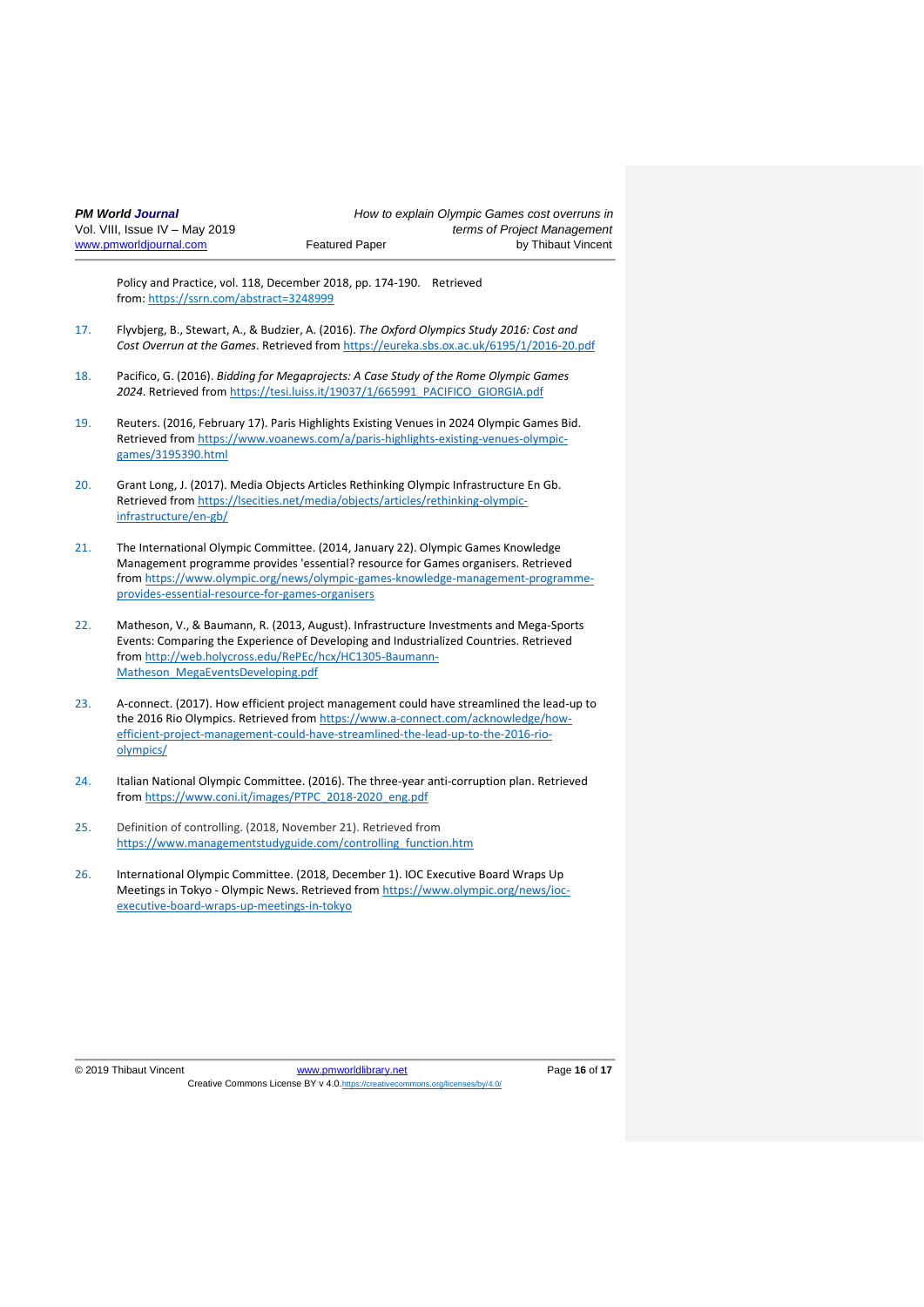Policy and Practice, vol. 118, December 2018, pp. 174-190. Retrieved from: <https://ssrn.com/abstract=3248999>

- 17. Flyvbjerg, B., Stewart, A., & Budzier, A. (2016). *The Oxford Olympics Study 2016: Cost and Cost Overrun at the Games*. Retrieved from<https://eureka.sbs.ox.ac.uk/6195/1/2016-20.pdf>
- 18. Pacifico, G. (2016). *Bidding for Megaprojects: A Case Study of the Rome Olympic Games 2024*. Retrieved fro[m https://tesi.luiss.it/19037/1/665991\\_PACIFICO\\_GIORGIA.pdf](https://tesi.luiss.it/19037/1/665991_PACIFICO_GIORGIA.pdf)
- 19. Reuters. (2016, February 17). Paris Highlights Existing Venues in 2024 Olympic Games Bid. Retrieved from [https://www.voanews.com/a/paris-highlights-existing-venues-olympic](https://www.voanews.com/a/paris-highlights-existing-venues-olympic-games/3195390.html)[games/3195390.html](https://www.voanews.com/a/paris-highlights-existing-venues-olympic-games/3195390.html)
- 20. Grant Long, J. (2017). Media Objects Articles Rethinking Olympic Infrastructure En Gb. Retrieved from [https://lsecities.net/media/objects/articles/rethinking-olympic](https://lsecities.net/media/objects/articles/rethinking-olympic-infrastructure/en-gb/)[infrastructure/en-gb/](https://lsecities.net/media/objects/articles/rethinking-olympic-infrastructure/en-gb/)
- 21. The International Olympic Committee. (2014, January 22). Olympic Games Knowledge Management programme provides 'essential? resource for Games organisers. Retrieved from [https://www.olympic.org/news/olympic-games-knowledge-management-programme](https://www.olympic.org/news/olympic-games-knowledge-management-programme-provides-essential-resource-for-games-organisers)[provides-essential-resource-for-games-organisers](https://www.olympic.org/news/olympic-games-knowledge-management-programme-provides-essential-resource-for-games-organisers)
- 22. Matheson, V., & Baumann, R. (2013, August). Infrastructure Investments and Mega-Sports Events: Comparing the Experience of Developing and Industrialized Countries. Retrieved from [http://web.holycross.edu/RePEc/hcx/HC1305-Baumann-](http://web.holycross.edu/RePEc/hcx/HC1305-Baumann-Matheson_MegaEventsDeveloping.pdf)[Matheson\\_MegaEventsDeveloping.pdf](http://web.holycross.edu/RePEc/hcx/HC1305-Baumann-Matheson_MegaEventsDeveloping.pdf)
- 23. A-connect. (2017). How efficient project management could have streamlined the lead-up to the 2016 Rio Olympics. Retrieved fro[m https://www.a-connect.com/acknowledge/how](https://www.a-connect.com/acknowledge/how-efficient-project-management-could-have-streamlined-the-lead-up-to-the-2016-rio-olympics/)[efficient-project-management-could-have-streamlined-the-lead-up-to-the-2016-rio](https://www.a-connect.com/acknowledge/how-efficient-project-management-could-have-streamlined-the-lead-up-to-the-2016-rio-olympics/)[olympics/](https://www.a-connect.com/acknowledge/how-efficient-project-management-could-have-streamlined-the-lead-up-to-the-2016-rio-olympics/)
- 24. Italian National Olympic Committee. (2016). The three-year anti-corruption plan. Retrieved from [https://www.coni.it/images/PTPC\\_2018-2020\\_eng.pdf](https://www.coni.it/images/PTPC_2018-2020_eng.pdf)
- 25. Definition of controlling. (2018, November 21). Retrieved from [https://www.managementstudyguide.com/controlling\\_function.htm](https://www.managementstudyguide.com/controlling_function.htm)
- 26. International Olympic Committee. (2018, December 1). IOC Executive Board Wraps Up Meetings in Tokyo - Olympic News. Retrieved from [https://www.olympic.org/news/ioc](https://www.olympic.org/news/ioc-executive-board-wraps-up-meetings-in-tokyo)[executive-board-wraps-up-meetings-in-tokyo](https://www.olympic.org/news/ioc-executive-board-wraps-up-meetings-in-tokyo)

© 2019 Thibaut Vincent [www.pmworldlibrary.net](http://www.pmworldlibrary.net/) Page **16** of **17** Creative Commons License BY v 4.0.<https://creativecommons.org/licenses/by/4.0/>